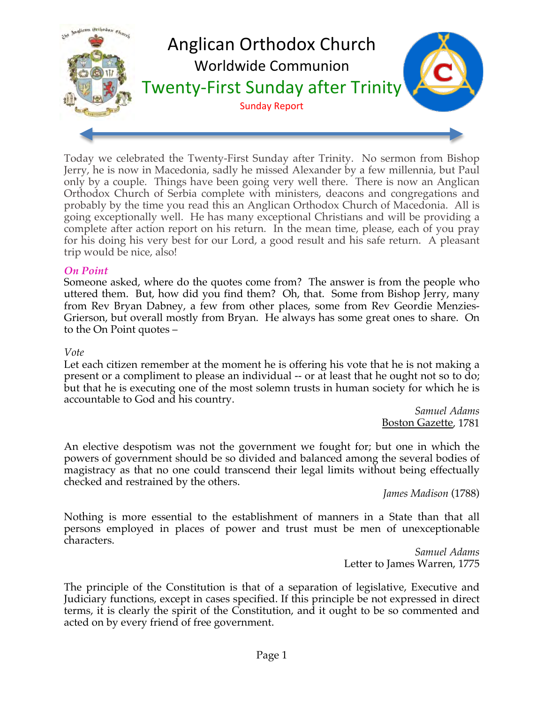

Today we celebrated the Twenty-First Sunday after Trinity. No sermon from Bishop Jerry, he is now in Macedonia, sadly he missed Alexander by a few millennia, but Paul only by a couple. Things have been going very well there. There is now an Anglican Orthodox Church of Serbia complete with ministers, deacons and congregations and probably by the time you read this an Anglican Orthodox Church of Macedonia. All is going exceptionally well. He has many exceptional Christians and will be providing a complete after action report on his return. In the mean time, please, each of you pray for his doing his very best for our Lord, a good result and his safe return. A pleasant trip would be nice, also!

### *On Point*

Someone asked, where do the quotes come from? The answer is from the people who uttered them. But, how did you find them? Oh, that. Some from Bishop Jerry, many from Rev Bryan Dabney, a few from other places, some from Rev Geordie Menzies-Grierson, but overall mostly from Bryan. He always has some great ones to share. On to the On Point quotes –

#### *Vote*

Let each citizen remember at the moment he is offering his vote that he is not making a present or a compliment to please an individual -- or at least that he ought not so to do; but that he is executing one of the most solemn trusts in human society for which he is accountable to God and his country.

*Samuel Adams* Boston Gazette, 1781

An elective despotism was not the government we fought for; but one in which the powers of government should be so divided and balanced among the several bodies of magistracy as that no one could transcend their legal limits without being effectually checked and restrained by the others.

*James Madison* (1788)

Nothing is more essential to the establishment of manners in a State than that all persons employed in places of power and trust must be men of unexceptionable characters.

*Samuel Adams* Letter to James Warren, 1775

The principle of the Constitution is that of a separation of legislative, Executive and Judiciary functions, except in cases specified. If this principle be not expressed in direct terms, it is clearly the spirit of the Constitution, and it ought to be so commented and acted on by every friend of free government.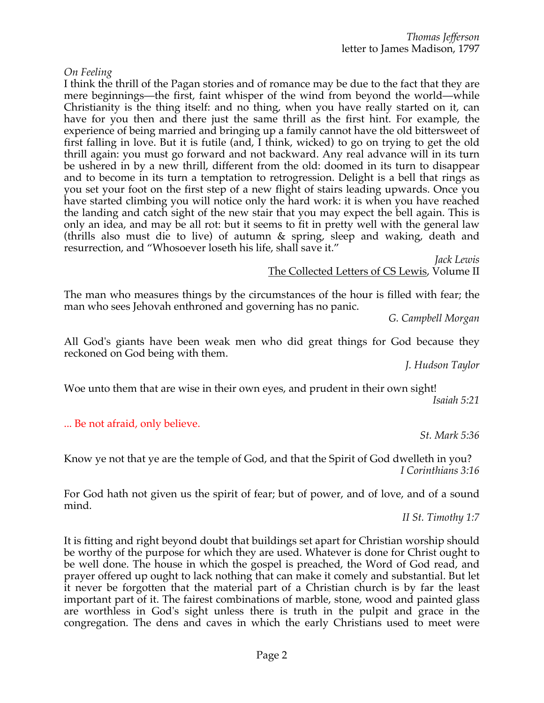### *On Feeling*

I think the thrill of the Pagan stories and of romance may be due to the fact that they are mere beginnings—the first, faint whisper of the wind from beyond the world—while Christianity is the thing itself: and no thing, when you have really started on it, can have for you then and there just the same thrill as the first hint. For example, the experience of being married and bringing up a family cannot have the old bittersweet of first falling in love. But it is futile (and, I think, wicked) to go on trying to get the old thrill again: you must go forward and not backward. Any real advance will in its turn be ushered in by a new thrill, different from the old: doomed in its turn to disappear and to become in its turn a temptation to retrogression. Delight is a bell that rings as you set your foot on the first step of a new flight of stairs leading upwards. Once you have started climbing you will notice only the hard work: it is when you have reached the landing and catch sight of the new stair that you may expect the bell again. This is only an idea, and may be all rot: but it seems to fit in pretty well with the general law (thrills also must die to live) of autumn & spring, sleep and waking, death and resurrection, and "Whosoever loseth his life, shall save it."

*Jack Lewis*

The Collected Letters of CS Lewis, Volume II

The man who measures things by the circumstances of the hour is filled with fear; the man who sees Jehovah enthroned and governing has no panic.

*G. Campbell Morgan*

All God's giants have been weak men who did great things for God because they reckoned on God being with them.

*J. Hudson Taylor*

Woe unto them that are wise in their own eyes, and prudent in their own sight! *Isaiah 5:21*

... Be not afraid, only believe.

*St. Mark 5:36*

Know ye not that ye are the temple of God, and that the Spirit of God dwelleth in you? *I Corinthians 3:16*

For God hath not given us the spirit of fear; but of power, and of love, and of a sound mind.

*II St. Timothy 1:7*

It is fitting and right beyond doubt that buildings set apart for Christian worship should be worthy of the purpose for which they are used. Whatever is done for Christ ought to be well done. The house in which the gospel is preached, the Word of God read, and prayer offered up ought to lack nothing that can make it comely and substantial. But let it never be forgotten that the material part of a Christian church is by far the least important part of it. The fairest combinations of marble, stone, wood and painted glass are worthless in God's sight unless there is truth in the pulpit and grace in the congregation. The dens and caves in which the early Christians used to meet were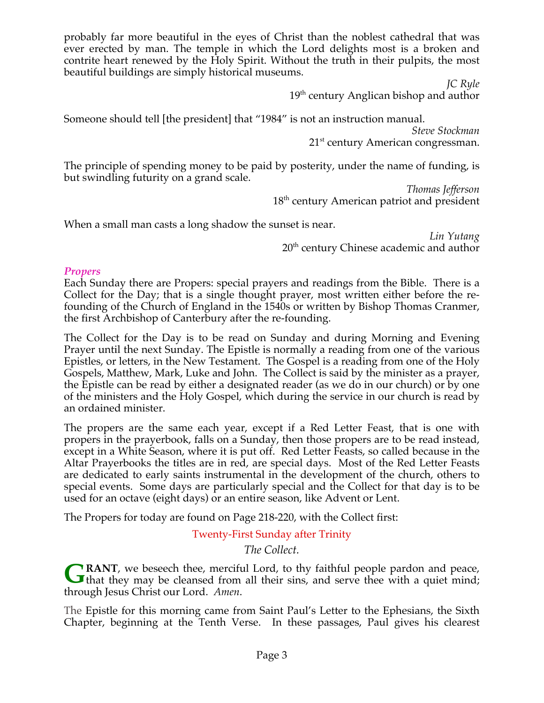probably far more beautiful in the eyes of Christ than the noblest cathedral that was ever erected by man. The temple in which the Lord delights most is a broken and contrite heart renewed by the Holy Spirit. Without the truth in their pulpits, the most beautiful buildings are simply historical museums.

> *JC Ryle*  $19<sup>th</sup>$  century Anglican bishop and author

Someone should tell [the president] that "1984" is not an instruction manual.

*Steve Stockman* 21<sup>st</sup> century American congressman.

The principle of spending money to be paid by posterity, under the name of funding, is but swindling futurity on a grand scale.

> *Thomas Jefferson* 18<sup>th</sup> century American patriot and president

When a small man casts a long shadow the sunset is near.

*Lin Yutang* 20<sup>th</sup> century Chinese academic and author

# *Propers*

Each Sunday there are Propers: special prayers and readings from the Bible. There is a Collect for the Day; that is a single thought prayer, most written either before the refounding of the Church of England in the 1540s or written by Bishop Thomas Cranmer, the first Archbishop of Canterbury after the re-founding.

The Collect for the Day is to be read on Sunday and during Morning and Evening Prayer until the next Sunday. The Epistle is normally a reading from one of the various Epistles, or letters, in the New Testament. The Gospel is a reading from one of the Holy Gospels, Matthew, Mark, Luke and John. The Collect is said by the minister as a prayer, the Epistle can be read by either a designated reader (as we do in our church) or by one of the ministers and the Holy Gospel, which during the service in our church is read by an ordained minister.

The propers are the same each year, except if a Red Letter Feast, that is one with propers in the prayerbook, falls on a Sunday, then those propers are to be read instead, except in a White Season, where it is put off. Red Letter Feasts, so called because in the Altar Prayerbooks the titles are in red, are special days. Most of the Red Letter Feasts are dedicated to early saints instrumental in the development of the church, others to special events. Some days are particularly special and the Collect for that day is to be used for an octave (eight days) or an entire season, like Advent or Lent.

The Propers for today are found on Page 218-220, with the Collect first:

Twenty-First Sunday after Trinity

*The Collect.*

**RANT**, we beseech thee, merciful Lord, to thy faithful people pardon and peace, **G**RANT, we beseech thee, merciful Lord, to thy faithful people pardon and peace, that they may be cleansed from all their sins, and serve thee with a quiet mind; through Jesus Christ our Lord. *Amen*.

The Epistle for this morning came from Saint Paul's Letter to the Ephesians, the Sixth Chapter, beginning at the Tenth Verse. In these passages, Paul gives his clearest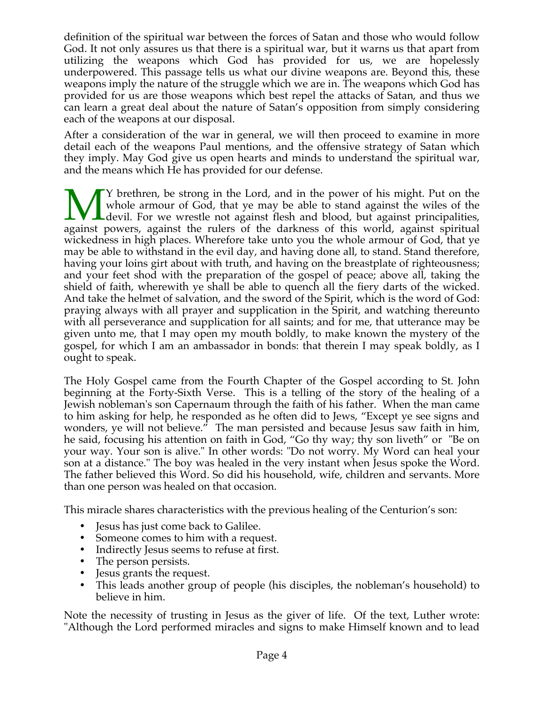definition of the spiritual war between the forces of Satan and those who would follow God. It not only assures us that there is a spiritual war, but it warns us that apart from utilizing the weapons which God has provided for us, we are hopelessly underpowered. This passage tells us what our divine weapons are. Beyond this, these weapons imply the nature of the struggle which we are in. The weapons which God has provided for us are those weapons which best repel the attacks of Satan, and thus we can learn a great deal about the nature of Satan's opposition from simply considering each of the weapons at our disposal.

After a consideration of the war in general, we will then proceed to examine in more detail each of the weapons Paul mentions, and the offensive strategy of Satan which they imply. May God give us open hearts and minds to understand the spiritual war, and the means which He has provided for our defense.

Y brethren, be strong in the Lord, and in the power of his might. Put on the whole armour of God, that ye may be able to stand against the wiles of the Ldevil. For we wrestle not against flesh and blood, but against principalities, Whole armour of God, that ye may be able to stand against the wiles of the devil. For we wrestle not against flesh and blood, but against principalities, against powers, against the rulers of the darkness of this world, ag wickedness in high places. Wherefore take unto you the whole armour of God, that ye may be able to withstand in the evil day, and having done all, to stand. Stand therefore, having your loins girt about with truth, and having on the breastplate of righteousness; and your feet shod with the preparation of the gospel of peace; above all, taking the shield of faith, wherewith ye shall be able to quench all the fiery darts of the wicked. And take the helmet of salvation, and the sword of the Spirit, which is the word of God: praying always with all prayer and supplication in the Spirit, and watching thereunto with all perseverance and supplication for all saints; and for me, that utterance may be given unto me, that I may open my mouth boldly, to make known the mystery of the gospel, for which I am an ambassador in bonds: that therein I may speak boldly, as I ought to speak.

The Holy Gospel came from the Fourth Chapter of the Gospel according to St. John beginning at the Forty-Sixth Verse. This is a telling of the story of the healing of a Jewish nobleman's son Capernaum through the faith of his father. When the man came to him asking for help, he responded as he often did to Jews, "Except ye see signs and wonders, ye will not believe." The man persisted and because Jesus saw faith in him, he said, focusing his attention on faith in God, "Go thy way; thy son liveth" or "Be on your way. Your son is alive." In other words: "Do not worry. My Word can heal your son at a distance." The boy was healed in the very instant when Jesus spoke the Word. The father believed this Word. So did his household, wife, children and servants. More than one person was healed on that occasion.

This miracle shares characteristics with the previous healing of the Centurion's son:

- Jesus has just come back to Galilee.
- Someone comes to him with a request.
- Indirectly Jesus seems to refuse at first.
- The person persists.
- Jesus grants the request.
- This leads another group of people (his disciples, the nobleman's household) to believe in him.

Note the necessity of trusting in Jesus as the giver of life. Of the text, Luther wrote: "Although the Lord performed miracles and signs to make Himself known and to lead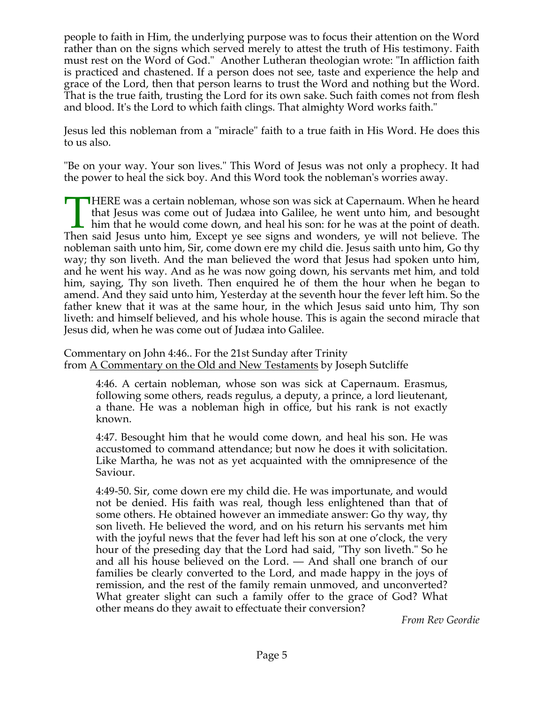people to faith in Him, the underlying purpose was to focus their attention on the Word rather than on the signs which served merely to attest the truth of His testimony. Faith must rest on the Word of God." Another Lutheran theologian wrote: "In affliction faith is practiced and chastened. If a person does not see, taste and experience the help and grace of the Lord, then that person learns to trust the Word and nothing but the Word. That is the true faith, trusting the Lord for its own sake. Such faith comes not from flesh and blood. It's the Lord to which faith clings. That almighty Word works faith."

Jesus led this nobleman from a "miracle" faith to a true faith in His Word. He does this to us also.

"Be on your way. Your son lives." This Word of Jesus was not only a prophecy. It had the power to heal the sick boy. And this Word took the nobleman's worries away.

**HERE** was a certain nobleman, whose son was sick at Capernaum. When he heard that Jesus was come out of Judæa into Galilee, he went unto him, and besought I him that he would come down, and heal his son: for he was at the point of death. THERE was a certain nobleman, whose son was sick at Capernaum. When he heard that Jesus was come out of Judæa into Galilee, he went unto him, and besought him that he would come down, and heal his son: for he was at the po nobleman saith unto him, Sir, come down ere my child die. Jesus saith unto him, Go thy way; thy son liveth. And the man believed the word that Jesus had spoken unto him, and he went his way. And as he was now going down, his servants met him, and told him, saying, Thy son liveth. Then enquired he of them the hour when he began to amend. And they said unto him, Yesterday at the seventh hour the fever left him. So the father knew that it was at the same hour, in the which Jesus said unto him, Thy son liveth: and himself believed, and his whole house. This is again the second miracle that Jesus did, when he was come out of Judæa into Galilee.

Commentary on John 4:46.. For the 21st Sunday after Trinity from A Commentary on the Old and New Testaments by Joseph Sutcliffe

4:46. A certain nobleman, whose son was sick at Capernaum. Erasmus, following some others, reads regulus, a deputy, a prince, a lord lieutenant, a thane. He was a nobleman high in office, but his rank is not exactly known.

4:47. Besought him that he would come down, and heal his son. He was accustomed to command attendance; but now he does it with solicitation. Like Martha, he was not as yet acquainted with the omnipresence of the Saviour.

4:49-50. Sir, come down ere my child die. He was importunate, and would not be denied. His faith was real, though less enlightened than that of some others. He obtained however an immediate answer: Go thy way, thy son liveth. He believed the word, and on his return his servants met him with the joyful news that the fever had left his son at one o'clock, the very hour of the preseding day that the Lord had said, "Thy son liveth." So he and all his house believed on the Lord. — And shall one branch of our families be clearly converted to the Lord, and made happy in the joys of remission, and the rest of the family remain unmoved, and unconverted? What greater slight can such a family offer to the grace of God? What other means do they await to effectuate their conversion?

*From Rev Geordie*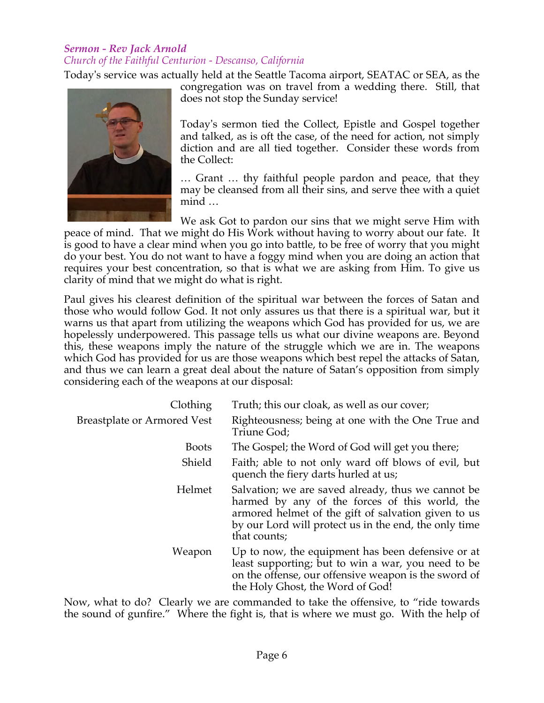## *Sermon - Rev Jack Arnold Church of the Faithful Centurion - Descanso, California*

Today's service was actually held at the Seattle Tacoma airport, SEATAC or SEA, as the



congregation was on travel from a wedding there. Still, that does not stop the Sunday service!

Today's sermon tied the Collect, Epistle and Gospel together and talked, as is oft the case, of the need for action, not simply diction and are all tied together. Consider these words from the Collect:

… Grant … thy faithful people pardon and peace, that they may be cleansed from all their sins, and serve thee with a quiet mind …

We ask Got to pardon our sins that we might serve Him with peace of mind. That we might do His Work without having to worry about our fate. It is good to have a clear mind when you go into battle, to be free of worry that you might do your best. You do not want to have a foggy mind when you are doing an action that requires your best concentration, so that is what we are asking from Him. To give us clarity of mind that we might do what is right.

Paul gives his clearest definition of the spiritual war between the forces of Satan and those who would follow God. It not only assures us that there is a spiritual war, but it warns us that apart from utilizing the weapons which God has provided for us, we are hopelessly underpowered. This passage tells us what our divine weapons are. Beyond this, these weapons imply the nature of the struggle which we are in. The weapons which God has provided for us are those weapons which best repel the attacks of Satan, and thus we can learn a great deal about the nature of Satan's opposition from simply considering each of the weapons at our disposal:

| Clothing                           | Truth; this our cloak, as well as our cover;                                                                                                                                                                                         |
|------------------------------------|--------------------------------------------------------------------------------------------------------------------------------------------------------------------------------------------------------------------------------------|
| <b>Breastplate or Armored Vest</b> | Righteousness; being at one with the One True and<br>Triune God;                                                                                                                                                                     |
| <b>Boots</b>                       | The Gospel; the Word of God will get you there;                                                                                                                                                                                      |
| Shield                             | Faith; able to not only ward off blows of evil, but<br>quench the fiery darts hurled at us;                                                                                                                                          |
| Helmet                             | Salvation; we are saved already, thus we cannot be<br>harmed by any of the forces of this world, the<br>armored helmet of the gift of salvation given to us<br>by our Lord will protect us in the end, the only time<br>that counts; |
| Weapon                             | Up to now, the equipment has been defensive or at<br>least supporting; but to win a war, you need to be<br>on the offense, our offensive weapon is the sword of<br>the Holy Ghost, the Word of God!                                  |

Now, what to do? Clearly we are commanded to take the offensive, to "ride towards the sound of gunfire." Where the fight is, that is where we must go. With the help of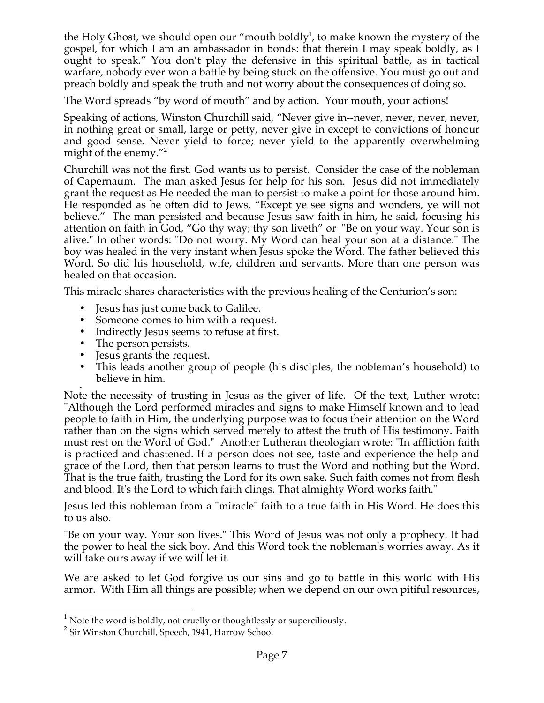the Holy Ghost, we should open our "mouth boldly<sup>1</sup>, to make known the mystery of the gospel, for which I am an ambassador in bonds: that therein I may speak boldly, as I ought to speak." You don't play the defensive in this spiritual battle, as in tactical warfare, nobody ever won a battle by being stuck on the offensive. You must go out and preach boldly and speak the truth and not worry about the consequences of doing so.

The Word spreads "by word of mouth" and by action. Your mouth, your actions!

Speaking of actions, Winston Churchill said, "Never give in--never, never, never, never, in nothing great or small, large or petty, never give in except to convictions of honour and good sense. Never yield to force; never yield to the apparently overwhelming might of the enemy."<sup>2</sup>

Churchill was not the first. God wants us to persist. Consider the case of the nobleman of Capernaum. The man asked Jesus for help for his son. Jesus did not immediately grant the request as He needed the man to persist to make a point for those around him. He responded as he often did to Jews, "Except ye see signs and wonders, ye will not believe." The man persisted and because Jesus saw faith in him, he said, focusing his attention on faith in God, "Go thy way; thy son liveth" or "Be on your way. Your son is alive." In other words: "Do not worry. My Word can heal your son at a distance." The boy was healed in the very instant when Jesus spoke the Word. The father believed this Word. So did his household, wife, children and servants. More than one person was healed on that occasion.

This miracle shares characteristics with the previous healing of the Centurion's son:

- Jesus has just come back to Galilee.
- Someone comes to him with a request.
- Indirectly Jesus seems to refuse at first.
- The person persists.
- Jesus grants the request.
- This leads another group of people (his disciples, the nobleman's household) to believe in him.

• Note the necessity of trusting in Jesus as the giver of life. Of the text, Luther wrote: "Although the Lord performed miracles and signs to make Himself known and to lead people to faith in Him, the underlying purpose was to focus their attention on the Word rather than on the signs which served merely to attest the truth of His testimony. Faith must rest on the Word of God." Another Lutheran theologian wrote: "In affliction faith is practiced and chastened. If a person does not see, taste and experience the help and grace of the Lord, then that person learns to trust the Word and nothing but the Word. That is the true faith, trusting the Lord for its own sake. Such faith comes not from flesh and blood. It's the Lord to which faith clings. That almighty Word works faith."

Jesus led this nobleman from a "miracle" faith to a true faith in His Word. He does this to us also.

"Be on your way. Your son lives." This Word of Jesus was not only a prophecy. It had the power to heal the sick boy. And this Word took the nobleman's worries away. As it will take ours away if we will let it.

We are asked to let God forgive us our sins and go to battle in this world with His armor. With Him all things are possible; when we depend on our own pitiful resources,

 $1$  Note the word is boldly, not cruelly or thoughtlessly or superciliously.

<sup>&</sup>lt;sup>2</sup> Sir Winston Churchill, Speech, 1941, Harrow School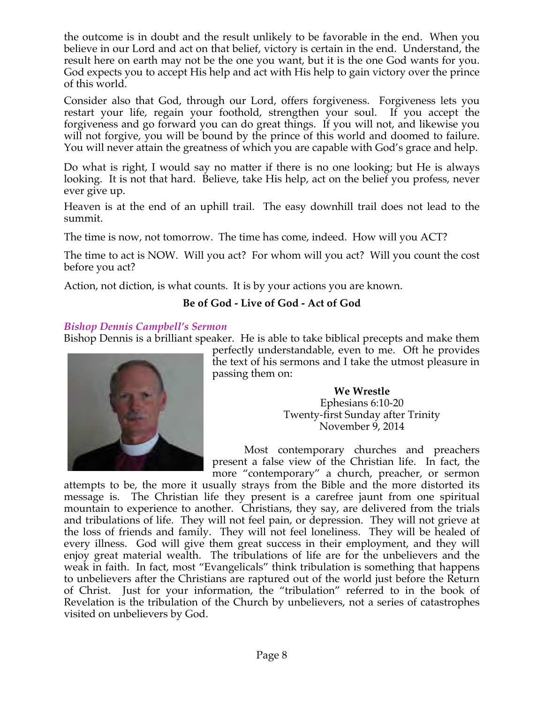the outcome is in doubt and the result unlikely to be favorable in the end. When you believe in our Lord and act on that belief, victory is certain in the end. Understand, the result here on earth may not be the one you want, but it is the one God wants for you. God expects you to accept His help and act with His help to gain victory over the prince of this world.

Consider also that God, through our Lord, offers forgiveness. Forgiveness lets you restart your life, regain your foothold, strengthen your soul. If you accept the forgiveness and go forward you can do great things. If you will not, and likewise you will not forgive, you will be bound by the prince of this world and doomed to failure. You will never attain the greatness of which you are capable with God's grace and help.

Do what is right, I would say no matter if there is no one looking; but He is always looking. It is not that hard. Believe, take His help, act on the belief you profess, never ever give up.

Heaven is at the end of an uphill trail. The easy downhill trail does not lead to the summit.

The time is now, not tomorrow. The time has come, indeed. How will you ACT?

The time to act is NOW. Will you act? For whom will you act? Will you count the cost before you act?

Action, not diction, is what counts. It is by your actions you are known.

# **Be of God - Live of God - Act of God**

## *Bishop Dennis Campbell's Sermon*

Bishop Dennis is a brilliant speaker. He is able to take biblical precepts and make them



perfectly understandable, even to me. Oft he provides the text of his sermons and I take the utmost pleasure in passing them on:

> **We Wrestle** Ephesians 6:10-20 Twenty-first Sunday after Trinity November 9, 2014

Most contemporary churches and preachers present a false view of the Christian life. In fact, the more "contemporary" a church, preacher, or sermon

attempts to be, the more it usually strays from the Bible and the more distorted its message is. The Christian life they present is a carefree jaunt from one spiritual mountain to experience to another. Christians, they say, are delivered from the trials and tribulations of life. They will not feel pain, or depression. They will not grieve at the loss of friends and family. They will not feel loneliness. They will be healed of every illness. God will give them great success in their employment, and they will enjoy great material wealth. The tribulations of life are for the unbelievers and the weak in faith. In fact, most "Evangelicals" think tribulation is something that happens to unbelievers after the Christians are raptured out of the world just before the Return of Christ. Just for your information, the "tribulation" referred to in the book of Revelation is the tribulation of the Church by unbelievers, not a series of catastrophes visited on unbelievers by God.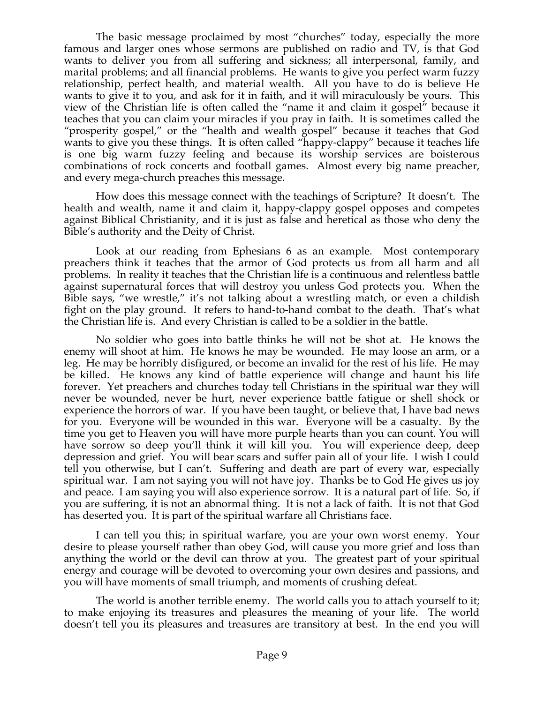The basic message proclaimed by most "churches" today, especially the more famous and larger ones whose sermons are published on radio and TV, is that God wants to deliver you from all suffering and sickness; all interpersonal, family, and marital problems; and all financial problems. He wants to give you perfect warm fuzzy relationship, perfect health, and material wealth. All you have to do is believe He wants to give it to you, and ask for it in faith, and it will miraculously be yours. This view of the Christian life is often called the "name it and claim it gospel" because it teaches that you can claim your miracles if you pray in faith. It is sometimes called the "prosperity gospel," or the "health and wealth gospel" because it teaches that God wants to give you these things. It is often called "happy-clappy" because it teaches life is one big warm fuzzy feeling and because its worship services are boisterous combinations of rock concerts and football games. Almost every big name preacher, and every mega-church preaches this message.

How does this message connect with the teachings of Scripture? It doesn't. The health and wealth, name it and claim it, happy-clappy gospel opposes and competes against Biblical Christianity, and it is just as false and heretical as those who deny the Bible's authority and the Deity of Christ.

Look at our reading from Ephesians 6 as an example. Most contemporary preachers think it teaches that the armor of God protects us from all harm and all problems. In reality it teaches that the Christian life is a continuous and relentless battle against supernatural forces that will destroy you unless God protects you. When the Bible says, "we wrestle," it's not talking about a wrestling match, or even a childish fight on the play ground. It refers to hand-to-hand combat to the death. That's what the Christian life is. And every Christian is called to be a soldier in the battle.

No soldier who goes into battle thinks he will not be shot at. He knows the enemy will shoot at him. He knows he may be wounded. He may loose an arm, or a leg. He may be horribly disfigured, or become an invalid for the rest of his life. He may be killed. He knows any kind of battle experience will change and haunt his life forever. Yet preachers and churches today tell Christians in the spiritual war they will never be wounded, never be hurt, never experience battle fatigue or shell shock or experience the horrors of war. If you have been taught, or believe that, I have bad news for you. Everyone will be wounded in this war. Everyone will be a casualty. By the time you get to Heaven you will have more purple hearts than you can count. You will have sorrow so deep you'll think it will kill you. You will experience deep, deep depression and grief. You will bear scars and suffer pain all of your life. I wish I could tell you otherwise, but I can't. Suffering and death are part of every war, especially spiritual war. I am not saying you will not have joy. Thanks be to God He gives us joy and peace. I am saying you will also experience sorrow. It is a natural part of life. So, if you are suffering, it is not an abnormal thing. It is not a lack of faith. It is not that God has deserted you. It is part of the spiritual warfare all Christians face.

I can tell you this; in spiritual warfare, you are your own worst enemy. Your desire to please yourself rather than obey God, will cause you more grief and loss than anything the world or the devil can throw at you. The greatest part of your spiritual energy and courage will be devoted to overcoming your own desires and passions, and you will have moments of small triumph, and moments of crushing defeat.

The world is another terrible enemy. The world calls you to attach yourself to it; to make enjoying its treasures and pleasures the meaning of your life. The world doesn't tell you its pleasures and treasures are transitory at best. In the end you will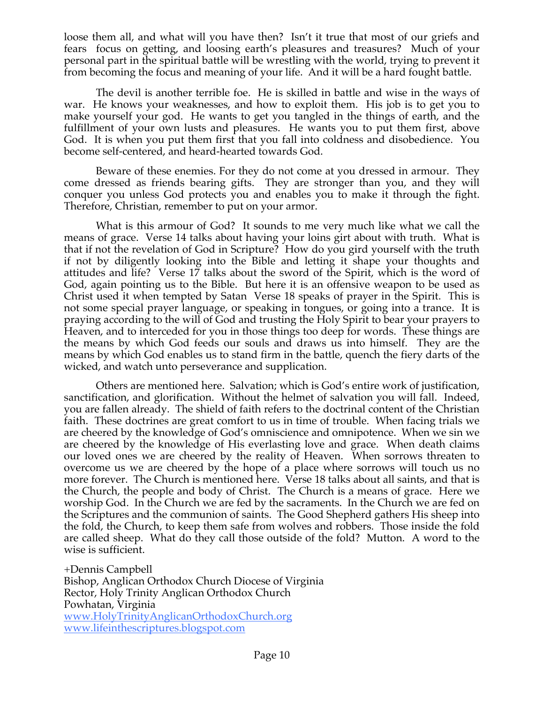loose them all, and what will you have then? Isn't it true that most of our griefs and fears focus on getting, and loosing earth's pleasures and treasures? Much of your personal part in the spiritual battle will be wrestling with the world, trying to prevent it from becoming the focus and meaning of your life. And it will be a hard fought battle.

The devil is another terrible foe. He is skilled in battle and wise in the ways of war. He knows your weaknesses, and how to exploit them. His job is to get you to make yourself your god. He wants to get you tangled in the things of earth, and the fulfillment of your own lusts and pleasures. He wants you to put them first, above God. It is when you put them first that you fall into coldness and disobedience. You become self-centered, and heard-hearted towards God.

Beware of these enemies. For they do not come at you dressed in armour. They come dressed as friends bearing gifts. They are stronger than you, and they will conquer you unless God protects you and enables you to make it through the fight. Therefore, Christian, remember to put on your armor.

What is this armour of God? It sounds to me very much like what we call the means of grace. Verse 14 talks about having your loins girt about with truth. What is that if not the revelation of God in Scripture? How do you gird yourself with the truth if not by diligently looking into the Bible and letting it shape your thoughts and attitudes and life? Verse 17 talks about the sword of the Spirit, which is the word of God, again pointing us to the Bible. But here it is an offensive weapon to be used as Christ used it when tempted by Satan Verse 18 speaks of prayer in the Spirit. This is not some special prayer language, or speaking in tongues, or going into a trance. It is praying according to the will of God and trusting the Holy Spirit to bear your prayers to Heaven, and to interceded for you in those things too deep for words. These things are the means by which God feeds our souls and draws us into himself. They are the means by which God enables us to stand firm in the battle, quench the fiery darts of the wicked, and watch unto perseverance and supplication.

Others are mentioned here. Salvation; which is God's entire work of justification, sanctification, and glorification. Without the helmet of salvation you will fall. Indeed, you are fallen already. The shield of faith refers to the doctrinal content of the Christian faith. These doctrines are great comfort to us in time of trouble. When facing trials we are cheered by the knowledge of God's omniscience and omnipotence. When we sin we are cheered by the knowledge of His everlasting love and grace. When death claims our loved ones we are cheered by the reality of Heaven. When sorrows threaten to overcome us we are cheered by the hope of a place where sorrows will touch us no more forever. The Church is mentioned here. Verse 18 talks about all saints, and that is the Church, the people and body of Christ. The Church is a means of grace. Here we worship God. In the Church we are fed by the sacraments. In the Church we are fed on the Scriptures and the communion of saints. The Good Shepherd gathers His sheep into the fold, the Church, to keep them safe from wolves and robbers. Those inside the fold are called sheep. What do they call those outside of the fold? Mutton. A word to the wise is sufficient.

+Dennis Campbell

Bishop, Anglican Orthodox Church Diocese of Virginia Rector, Holy Trinity Anglican Orthodox Church Powhatan, Virginia www.HolyTrinityAnglicanOrthodoxChurch.org www.lifeinthescriptures.blogspot.com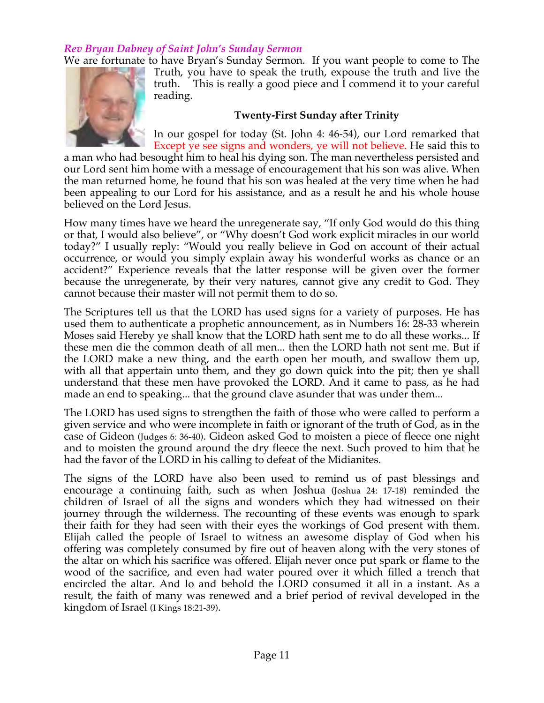## *Rev Bryan Dabney of Saint John's Sunday Sermon*

We are fortunate to have Bryan's Sunday Sermon. If you want people to come to The



Truth, you have to speak the truth, expouse the truth and live the truth. This is really a good piece and I commend it to your careful reading.

#### **Twenty-First Sunday after Trinity**

In our gospel for today (St. John 4: 46-54), our Lord remarked that Except ye see signs and wonders, ye will not believe. He said this to

a man who had besought him to heal his dying son. The man nevertheless persisted and our Lord sent him home with a message of encouragement that his son was alive. When the man returned home, he found that his son was healed at the very time when he had been appealing to our Lord for his assistance, and as a result he and his whole house believed on the Lord Jesus.

How many times have we heard the unregenerate say, "If only God would do this thing or that, I would also believe", or "Why doesn't God work explicit miracles in our world today?" I usually reply: "Would you really believe in God on account of their actual occurrence, or would you simply explain away his wonderful works as chance or an accident?" Experience reveals that the latter response will be given over the former because the unregenerate, by their very natures, cannot give any credit to God. They cannot because their master will not permit them to do so.

The Scriptures tell us that the LORD has used signs for a variety of purposes. He has used them to authenticate a prophetic announcement, as in Numbers 16: 28-33 wherein Moses said Hereby ye shall know that the LORD hath sent me to do all these works... If these men die the common death of all men... then the LORD hath not sent me. But if the LORD make a new thing, and the earth open her mouth, and swallow them up, with all that appertain unto them, and they go down quick into the pit; then ye shall understand that these men have provoked the LORD. And it came to pass, as he had made an end to speaking... that the ground clave asunder that was under them...

The LORD has used signs to strengthen the faith of those who were called to perform a given service and who were incomplete in faith or ignorant of the truth of God, as in the case of Gideon (Judges 6: 36-40). Gideon asked God to moisten a piece of fleece one night and to moisten the ground around the dry fleece the next. Such proved to him that he had the favor of the LORD in his calling to defeat of the Midianites.

The signs of the LORD have also been used to remind us of past blessings and encourage a continuing faith, such as when Joshua (Joshua 24: 17-18) reminded the children of Israel of all the signs and wonders which they had witnessed on their journey through the wilderness. The recounting of these events was enough to spark their faith for they had seen with their eyes the workings of God present with them. Elijah called the people of Israel to witness an awesome display of God when his offering was completely consumed by fire out of heaven along with the very stones of the altar on which his sacrifice was offered. Elijah never once put spark or flame to the wood of the sacrifice, and even had water poured over it which filled a trench that encircled the altar. And lo and behold the LORD consumed it all in a instant. As a result, the faith of many was renewed and a brief period of revival developed in the kingdom of Israel (I Kings 18:21-39).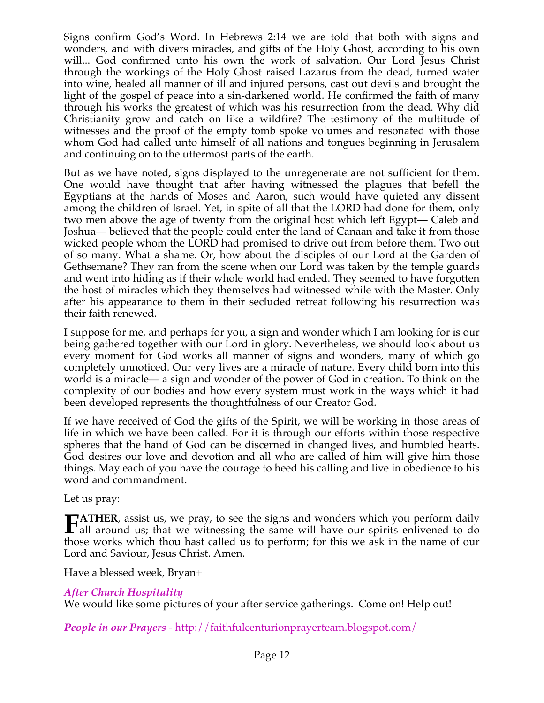Signs confirm God's Word. In Hebrews 2:14 we are told that both with signs and wonders, and with divers miracles, and gifts of the Holy Ghost, according to his own will... God confirmed unto his own the work of salvation. Our Lord Jesus Christ through the workings of the Holy Ghost raised Lazarus from the dead, turned water into wine, healed all manner of ill and injured persons, cast out devils and brought the light of the gospel of peace into a sin-darkened world. He confirmed the faith of many through his works the greatest of which was his resurrection from the dead. Why did Christianity grow and catch on like a wildfire? The testimony of the multitude of witnesses and the proof of the empty tomb spoke volumes and resonated with those whom God had called unto himself of all nations and tongues beginning in Jerusalem and continuing on to the uttermost parts of the earth.

But as we have noted, signs displayed to the unregenerate are not sufficient for them. One would have thought that after having witnessed the plagues that befell the Egyptians at the hands of Moses and Aaron, such would have quieted any dissent among the children of Israel. Yet, in spite of all that the LORD had done for them, only two men above the age of twenty from the original host which left Egypt— Caleb and Joshua— believed that the people could enter the land of Canaan and take it from those wicked people whom the LORD had promised to drive out from before them. Two out of so many. What a shame. Or, how about the disciples of our Lord at the Garden of Gethsemane? They ran from the scene when our Lord was taken by the temple guards and went into hiding as if their whole world had ended. They seemed to have forgotten the host of miracles which they themselves had witnessed while with the Master. Only after his appearance to them in their secluded retreat following his resurrection was their faith renewed.

I suppose for me, and perhaps for you, a sign and wonder which I am looking for is our being gathered together with our Lord in glory. Nevertheless, we should look about us every moment for God works all manner of signs and wonders, many of which go completely unnoticed. Our very lives are a miracle of nature. Every child born into this world is a miracle— a sign and wonder of the power of God in creation. To think on the complexity of our bodies and how every system must work in the ways which it had been developed represents the thoughtfulness of our Creator God.

If we have received of God the gifts of the Spirit, we will be working in those areas of life in which we have been called. For it is through our efforts within those respective spheres that the hand of God can be discerned in changed lives, and humbled hearts. God desires our love and devotion and all who are called of him will give him those things. May each of you have the courage to heed his calling and live in obedience to his word and commandment.

Let us pray:

**ATHER**, assist us, we pray, to see the signs and wonders which you perform daily **FATHER**, assist us, we pray, to see the signs and wonders which you perform daily all around us; that we witnessing the same will have our spirits enlivened to do those works which thou hast called us to perform; for this we ask in the name of our Lord and Saviour, Jesus Christ. Amen.

Have a blessed week, Bryan+

# *After Church Hospitality*

We would like some pictures of your after service gatherings. Come on! Help out!

*People in our Prayers* - http://faithfulcenturionprayerteam.blogspot.com/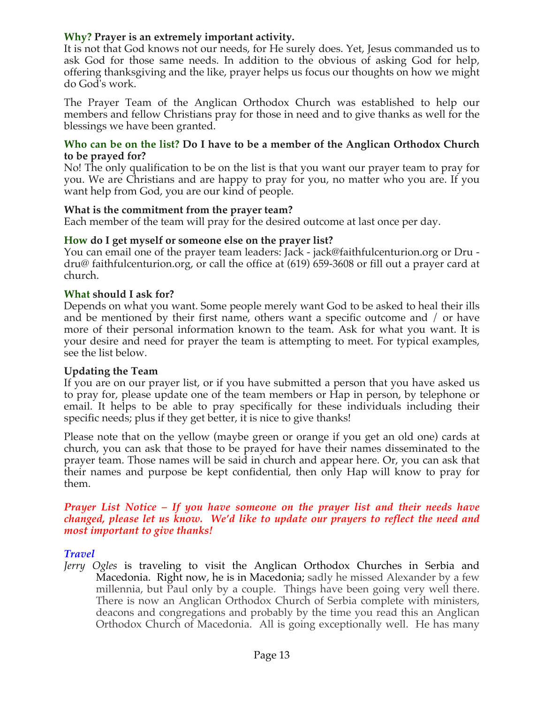# **Why? Prayer is an extremely important activity.**

It is not that God knows not our needs, for He surely does. Yet, Jesus commanded us to ask God for those same needs. In addition to the obvious of asking God for help, offering thanksgiving and the like, prayer helps us focus our thoughts on how we might do God's work.

The Prayer Team of the Anglican Orthodox Church was established to help our members and fellow Christians pray for those in need and to give thanks as well for the blessings we have been granted.

#### **Who can be on the list? Do I have to be a member of the Anglican Orthodox Church to be prayed for?**

No! The only qualification to be on the list is that you want our prayer team to pray for you. We are Christians and are happy to pray for you, no matter who you are. If you want help from God, you are our kind of people.

### **What is the commitment from the prayer team?**

Each member of the team will pray for the desired outcome at last once per day.

### **How do I get myself or someone else on the prayer list?**

You can email one of the prayer team leaders: Jack - jack@faithfulcenturion.org or Dru dru@ faithfulcenturion.org, or call the office at (619) 659-3608 or fill out a prayer card at church.

### **What should I ask for?**

Depends on what you want. Some people merely want God to be asked to heal their ills and be mentioned by their first name, others want a specific outcome and / or have more of their personal information known to the team. Ask for what you want. It is your desire and need for prayer the team is attempting to meet. For typical examples, see the list below.

### **Updating the Team**

If you are on our prayer list, or if you have submitted a person that you have asked us to pray for, please update one of the team members or Hap in person, by telephone or email. It helps to be able to pray specifically for these individuals including their specific needs; plus if they get better, it is nice to give thanks!

Please note that on the yellow (maybe green or orange if you get an old one) cards at church, you can ask that those to be prayed for have their names disseminated to the prayer team. Those names will be said in church and appear here. Or, you can ask that their names and purpose be kept confidential, then only Hap will know to pray for them.

#### *Prayer List Notice – If you have someone on the prayer list and their needs have changed, please let us know. We'd like to update our prayers to reflect the need and most important to give thanks!*

### *Travel*

*Jerry Ogles* is traveling to visit the Anglican Orthodox Churches in Serbia and Macedonia. Right now, he is in Macedonia; sadly he missed Alexander by a few millennia, but Paul only by a couple. Things have been going very well there. There is now an Anglican Orthodox Church of Serbia complete with ministers, deacons and congregations and probably by the time you read this an Anglican Orthodox Church of Macedonia. All is going exceptionally well. He has many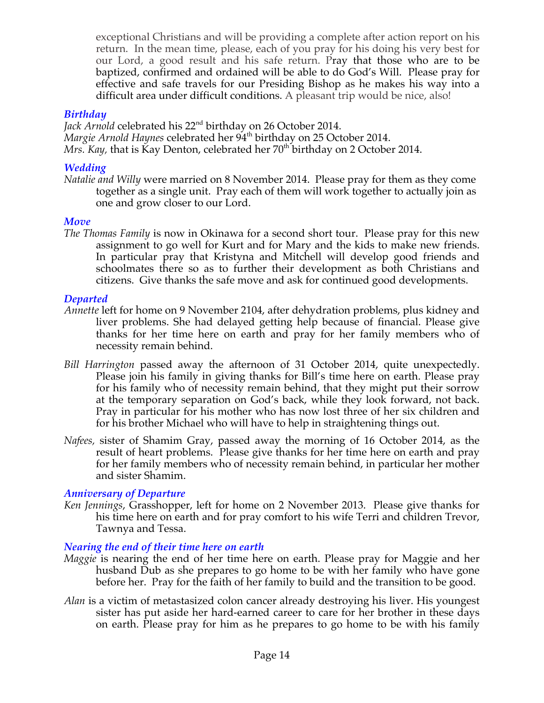exceptional Christians and will be providing a complete after action report on his return. In the mean time, please, each of you pray for his doing his very best for our Lord, a good result and his safe return. Pray that those who are to be baptized, confirmed and ordained will be able to do God's Will. Please pray for effective and safe travels for our Presiding Bishop as he makes his way into a difficult area under difficult conditions. A pleasant trip would be nice, also!

## *Birthday*

Jack Arnold celebrated his 22<sup>nd</sup> birthday on 26 October 2014. *Margie Arnold Haynes* celebrated her 94<sup>th</sup> birthday on 25 October 2014. *Mrs. Kay,* that is Kay Denton, celebrated her 70<sup>th</sup> birthday on 2 October 2014.

# *Wedding*

*Natalie and Willy* were married on 8 November 2014. Please pray for them as they come together as a single unit. Pray each of them will work together to actually join as one and grow closer to our Lord.

## *Move*

*The Thomas Family* is now in Okinawa for a second short tour. Please pray for this new assignment to go well for Kurt and for Mary and the kids to make new friends. In particular pray that Kristyna and Mitchell will develop good friends and schoolmates there so as to further their development as both Christians and citizens. Give thanks the safe move and ask for continued good developments.

# *Departed*

- *Annette* left for home on 9 November 2104, after dehydration problems, plus kidney and liver problems. She had delayed getting help because of financial. Please give thanks for her time here on earth and pray for her family members who of necessity remain behind.
- *Bill Harrington* passed away the afternoon of 31 October 2014, quite unexpectedly. Please join his family in giving thanks for Bill's time here on earth. Please pray for his family who of necessity remain behind, that they might put their sorrow at the temporary separation on God's back, while they look forward, not back. Pray in particular for his mother who has now lost three of her six children and for his brother Michael who will have to help in straightening things out.
- *Nafees,* sister of Shamim Gray, passed away the morning of 16 October 2014, as the result of heart problems. Please give thanks for her time here on earth and pray for her family members who of necessity remain behind, in particular her mother and sister Shamim.

# *Anniversary of Departure*

*Ken Jennings*, Grasshopper, left for home on 2 November 2013. Please give thanks for his time here on earth and for pray comfort to his wife Terri and children Trevor, Tawnya and Tessa.

# *Nearing the end of their time here on earth*

- *Maggie* is nearing the end of her time here on earth. Please pray for Maggie and her husband Dub as she prepares to go home to be with her family who have gone before her. Pray for the faith of her family to build and the transition to be good.
- *Alan* is a victim of metastasized colon cancer already destroying his liver. His youngest sister has put aside her hard-earned career to care for her brother in these days on earth. Please pray for him as he prepares to go home to be with his family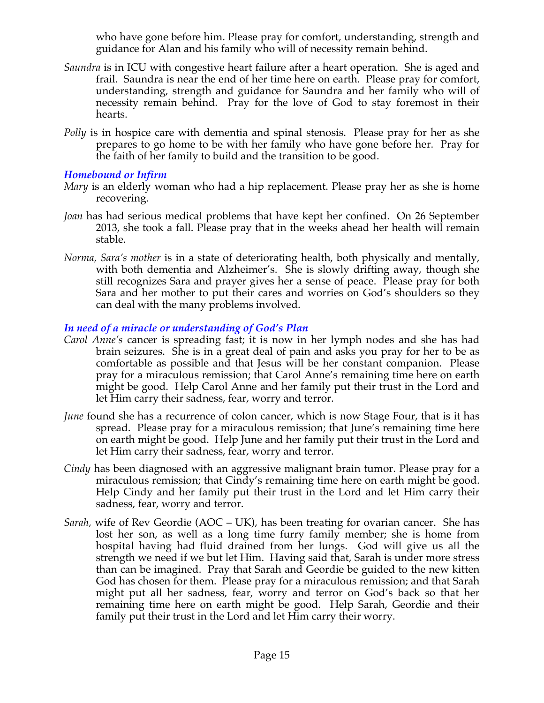who have gone before him. Please pray for comfort, understanding, strength and guidance for Alan and his family who will of necessity remain behind.

- *Saundra* is in ICU with congestive heart failure after a heart operation. She is aged and frail. Saundra is near the end of her time here on earth. Please pray for comfort, understanding, strength and guidance for Saundra and her family who will of necessity remain behind. Pray for the love of God to stay foremost in their hearts.
- *Polly* is in hospice care with dementia and spinal stenosis. Please pray for her as she prepares to go home to be with her family who have gone before her. Pray for the faith of her family to build and the transition to be good.

### *Homebound or Infirm*

- *Mary* is an elderly woman who had a hip replacement. Please pray her as she is home recovering.
- *Joan* has had serious medical problems that have kept her confined. On 26 September 2013, she took a fall. Please pray that in the weeks ahead her health will remain stable.
- *Norma, Sara's mother* is in a state of deteriorating health, both physically and mentally, with both dementia and Alzheimer's. She is slowly drifting away, though she still recognizes Sara and prayer gives her a sense of peace. Please pray for both Sara and her mother to put their cares and worries on God's shoulders so they can deal with the many problems involved.

# *In need of a miracle or understanding of God's Plan*

- *Carol Anne's* cancer is spreading fast; it is now in her lymph nodes and she has had brain seizures. She is in a great deal of pain and asks you pray for her to be as comfortable as possible and that Jesus will be her constant companion. Please pray for a miraculous remission; that Carol Anne's remaining time here on earth might be good. Help Carol Anne and her family put their trust in the Lord and let Him carry their sadness, fear, worry and terror.
- *June* found she has a recurrence of colon cancer, which is now Stage Four, that is it has spread. Please pray for a miraculous remission; that June's remaining time here on earth might be good. Help June and her family put their trust in the Lord and let Him carry their sadness, fear, worry and terror.
- *Cindy* has been diagnosed with an aggressive malignant brain tumor. Please pray for a miraculous remission; that Cindy's remaining time here on earth might be good. Help Cindy and her family put their trust in the Lord and let Him carry their sadness, fear, worry and terror.
- *Sarah,* wife of Rev Geordie (AOC UK), has been treating for ovarian cancer. She has lost her son, as well as a long time furry family member; she is home from hospital having had fluid drained from her lungs. God will give us all the strength we need if we but let Him. Having said that, Sarah is under more stress than can be imagined. Pray that Sarah and Geordie be guided to the new kitten God has chosen for them. Please pray for a miraculous remission; and that Sarah might put all her sadness, fear, worry and terror on God's back so that her remaining time here on earth might be good. Help Sarah, Geordie and their family put their trust in the Lord and let Him carry their worry.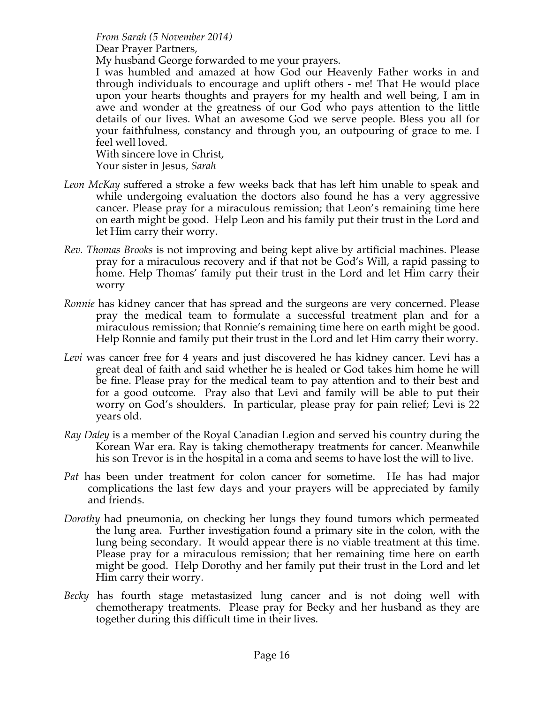*From Sarah (5 November 2014)* 

Dear Prayer Partners,

My husband George forwarded to me your prayers.

I was humbled and amazed at how God our Heavenly Father works in and through individuals to encourage and uplift others - me! That He would place upon your hearts thoughts and prayers for my health and well being, I am in awe and wonder at the greatness of our God who pays attention to the little details of our lives. What an awesome God we serve people. Bless you all for your faithfulness, constancy and through you, an outpouring of grace to me. I feel well loved.

With sincere love in Christ,

Your sister in Jesus, *Sarah*

- *Leon McKay* suffered a stroke a few weeks back that has left him unable to speak and while undergoing evaluation the doctors also found he has a very aggressive cancer. Please pray for a miraculous remission; that Leon's remaining time here on earth might be good. Help Leon and his family put their trust in the Lord and let Him carry their worry.
- *Rev. Thomas Brooks* is not improving and being kept alive by artificial machines. Please pray for a miraculous recovery and if that not be God's Will, a rapid passing to home. Help Thomas' family put their trust in the Lord and let Him carry their worry
- *Ronnie* has kidney cancer that has spread and the surgeons are very concerned. Please pray the medical team to formulate a successful treatment plan and for a miraculous remission; that Ronnie's remaining time here on earth might be good. Help Ronnie and family put their trust in the Lord and let Him carry their worry.
- *Levi* was cancer free for 4 years and just discovered he has kidney cancer. Levi has a great deal of faith and said whether he is healed or God takes him home he will be fine. Please pray for the medical team to pay attention and to their best and for a good outcome. Pray also that Levi and family will be able to put their worry on God's shoulders. In particular, please pray for pain relief; Levi is 22 years old.
- *Ray Daley* is a member of the Royal Canadian Legion and served his country during the Korean War era. Ray is taking chemotherapy treatments for cancer. Meanwhile his son Trevor is in the hospital in a coma and seems to have lost the will to live.
- *Pat* has been under treatment for colon cancer for sometime. He has had major complications the last few days and your prayers will be appreciated by family and friends.
- *Dorothy* had pneumonia, on checking her lungs they found tumors which permeated the lung area. Further investigation found a primary site in the colon, with the lung being secondary. It would appear there is no viable treatment at this time. Please pray for a miraculous remission; that her remaining time here on earth might be good. Help Dorothy and her family put their trust in the Lord and let Him carry their worry.
- *Becky* has fourth stage metastasized lung cancer and is not doing well with chemotherapy treatments. Please pray for Becky and her husband as they are together during this difficult time in their lives.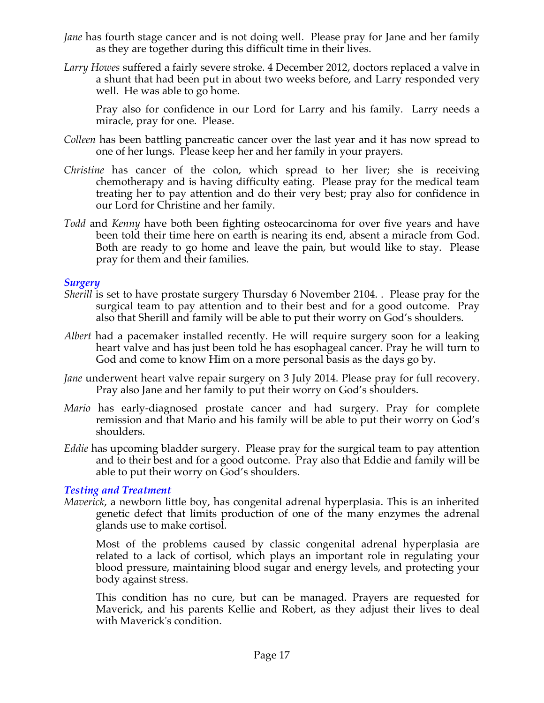- *Jane* has fourth stage cancer and is not doing well. Please pray for Jane and her family as they are together during this difficult time in their lives.
- *Larry Howes* suffered a fairly severe stroke. 4 December 2012, doctors replaced a valve in a shunt that had been put in about two weeks before, and Larry responded very well. He was able to go home.

Pray also for confidence in our Lord for Larry and his family. Larry needs a miracle, pray for one. Please.

- *Colleen* has been battling pancreatic cancer over the last year and it has now spread to one of her lungs. Please keep her and her family in your prayers.
- *Christine* has cancer of the colon, which spread to her liver; she is receiving chemotherapy and is having difficulty eating. Please pray for the medical team treating her to pay attention and do their very best; pray also for confidence in our Lord for Christine and her family.
- *Todd* and *Kenny* have both been fighting osteocarcinoma for over five years and have been told their time here on earth is nearing its end, absent a miracle from God. Both are ready to go home and leave the pain, but would like to stay. Please pray for them and their families.

#### *Surgery*

- *Sherill* is set to have prostate surgery Thursday 6 November 2104. . Please pray for the surgical team to pay attention and to their best and for a good outcome. Pray also that Sherill and family will be able to put their worry on God's shoulders.
- *Albert* had a pacemaker installed recently. He will require surgery soon for a leaking heart valve and has just been told he has esophageal cancer. Pray he will turn to God and come to know Him on a more personal basis as the days go by.
- *Jane* underwent heart valve repair surgery on 3 July 2014. Please pray for full recovery. Pray also Jane and her family to put their worry on God's shoulders.
- *Mario* has early-diagnosed prostate cancer and had surgery. Pray for complete remission and that Mario and his family will be able to put their worry on God's shoulders.
- *Eddie* has upcoming bladder surgery. Please pray for the surgical team to pay attention and to their best and for a good outcome. Pray also that Eddie and family will be able to put their worry on God's shoulders.

### *Testing and Treatment*

*Maverick*, a newborn little boy, has congenital adrenal hyperplasia. This is an inherited genetic defect that limits production of one of the many enzymes the adrenal glands use to make cortisol.

Most of the problems caused by classic congenital adrenal hyperplasia are related to a lack of cortisol, which plays an important role in regulating your blood pressure, maintaining blood sugar and energy levels, and protecting your body against stress.

This condition has no cure, but can be managed. Prayers are requested for Maverick, and his parents Kellie and Robert, as they adjust their lives to deal with Maverick's condition.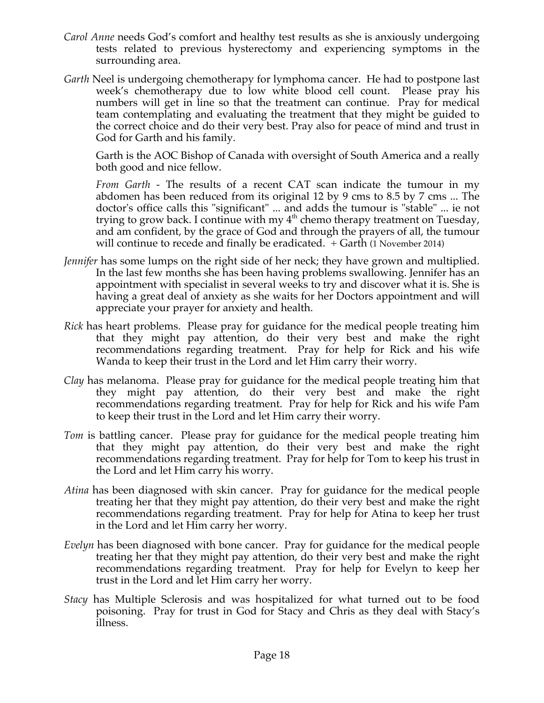- *Carol Anne* needs God's comfort and healthy test results as she is anxiously undergoing tests related to previous hysterectomy and experiencing symptoms in the surrounding area.
- *Garth* Neel is undergoing chemotherapy for lymphoma cancer. He had to postpone last week's chemotherapy due to low white blood cell count. Please pray his numbers will get in line so that the treatment can continue. Pray for medical team contemplating and evaluating the treatment that they might be guided to the correct choice and do their very best. Pray also for peace of mind and trust in God for Garth and his family.

Garth is the AOC Bishop of Canada with oversight of South America and a really both good and nice fellow.

*From Garth* - The results of a recent CAT scan indicate the tumour in my abdomen has been reduced from its original 12 by 9 cms to 8.5 by 7 cms ... The doctor's office calls this "significant" ... and adds the tumour is "stable" ... ie not trying to grow back. I continue with my  $4<sup>th</sup>$  chemo therapy treatment on Tuesday, and am confident, by the grace of God and through the prayers of all, the tumour will continue to recede and finally be eradicated. + Garth (1 November 2014)

- *Jennifer* has some lumps on the right side of her neck; they have grown and multiplied. In the last few months she has been having problems swallowing. Jennifer has an appointment with specialist in several weeks to try and discover what it is. She is having a great deal of anxiety as she waits for her Doctors appointment and will appreciate your prayer for anxiety and health.
- *Rick* has heart problems. Please pray for guidance for the medical people treating him that they might pay attention, do their very best and make the right recommendations regarding treatment. Pray for help for Rick and his wife Wanda to keep their trust in the Lord and let Him carry their worry.
- *Clay* has melanoma. Please pray for guidance for the medical people treating him that they might pay attention, do their very best and make the right recommendations regarding treatment. Pray for help for Rick and his wife Pam to keep their trust in the Lord and let Him carry their worry.
- *Tom* is battling cancer. Please pray for guidance for the medical people treating him that they might pay attention, do their very best and make the right recommendations regarding treatment. Pray for help for Tom to keep his trust in the Lord and let Him carry his worry.
- *Atina* has been diagnosed with skin cancer. Pray for guidance for the medical people treating her that they might pay attention, do their very best and make the right recommendations regarding treatment. Pray for help for Atina to keep her trust in the Lord and let Him carry her worry.
- *Evelyn* has been diagnosed with bone cancer. Pray for guidance for the medical people treating her that they might pay attention, do their very best and make the right recommendations regarding treatment. Pray for help for Evelyn to keep her trust in the Lord and let Him carry her worry.
- *Stacy* has Multiple Sclerosis and was hospitalized for what turned out to be food poisoning. Pray for trust in God for Stacy and Chris as they deal with Stacy's illness.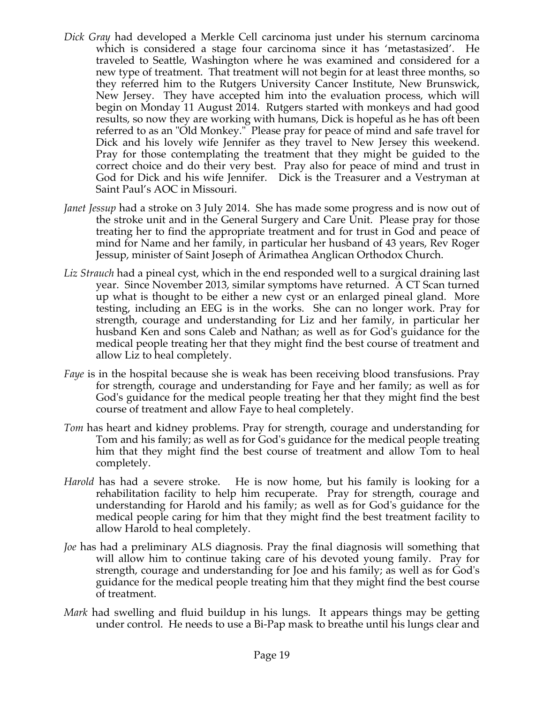- *Dick Gray* had developed a Merkle Cell carcinoma just under his sternum carcinoma which is considered a stage four carcinoma since it has 'metastasized'. He traveled to Seattle, Washington where he was examined and considered for a new type of treatment. That treatment will not begin for at least three months, so they referred him to the Rutgers University Cancer Institute, New Brunswick, New Jersey. They have accepted him into the evaluation process, which will begin on Monday 11 August 2014. Rutgers started with monkeys and had good results, so now they are working with humans, Dick is hopeful as he has oft been referred to as an "Old Monkey." Please pray for peace of mind and safe travel for Dick and his lovely wife Jennifer as they travel to New Jersey this weekend. Pray for those contemplating the treatment that they might be guided to the correct choice and do their very best. Pray also for peace of mind and trust in God for Dick and his wife Jennifer. Dick is the Treasurer and a Vestryman at Saint Paul's AOC in Missouri.
- *Janet Jessup* had a stroke on 3 July 2014. She has made some progress and is now out of the stroke unit and in the General Surgery and Care Unit. Please pray for those treating her to find the appropriate treatment and for trust in God and peace of mind for Name and her family, in particular her husband of 43 years, Rev Roger Jessup, minister of Saint Joseph of Arimathea Anglican Orthodox Church.
- *Liz Strauch* had a pineal cyst, which in the end responded well to a surgical draining last year. Since November 2013, similar symptoms have returned. A CT Scan turned up what is thought to be either a new cyst or an enlarged pineal gland. More testing, including an EEG is in the works. She can no longer work. Pray for strength, courage and understanding for Liz and her family, in particular her husband Ken and sons Caleb and Nathan; as well as for God's guidance for the medical people treating her that they might find the best course of treatment and allow Liz to heal completely.
- *Faye* is in the hospital because she is weak has been receiving blood transfusions. Pray for strength, courage and understanding for Faye and her family; as well as for God's guidance for the medical people treating her that they might find the best course of treatment and allow Faye to heal completely.
- *Tom* has heart and kidney problems. Pray for strength, courage and understanding for Tom and his family; as well as for God's guidance for the medical people treating him that they might find the best course of treatment and allow Tom to heal completely.
- *Harold* has had a severe stroke. He is now home, but his family is looking for a rehabilitation facility to help him recuperate. Pray for strength, courage and understanding for Harold and his family; as well as for God's guidance for the medical people caring for him that they might find the best treatment facility to allow Harold to heal completely.
- *Joe* has had a preliminary ALS diagnosis. Pray the final diagnosis will something that will allow him to continue taking care of his devoted young family. Pray for strength, courage and understanding for Joe and his family; as well as for God's guidance for the medical people treating him that they might find the best course of treatment.
- *Mark* had swelling and fluid buildup in his lungs. It appears things may be getting under control. He needs to use a Bi-Pap mask to breathe until his lungs clear and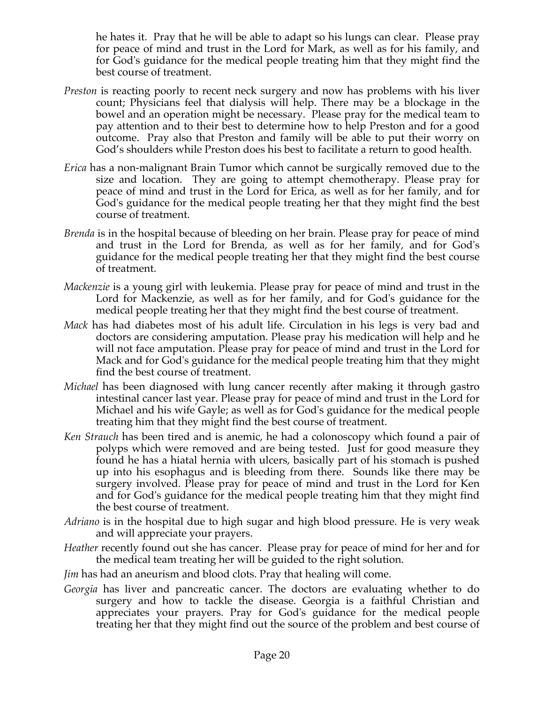he hates it. Pray that he will be able to adapt so his lungs can clear. Please pray for peace of mind and trust in the Lord for Mark, as well as for his family, and for God's guidance for the medical people treating him that they might find the best course of treatment.

- *Preston* is reacting poorly to recent neck surgery and now has problems with his liver count; Physicians feel that dialysis will help. There may be a blockage in the bowel and an operation might be necessary. Please pray for the medical team to pay attention and to their best to determine how to help Preston and for a good outcome. Pray also that Preston and family will be able to put their worry on God's shoulders while Preston does his best to facilitate a return to good health.
- *Erica* has a non-malignant Brain Tumor which cannot be surgically removed due to the size and location. They are going to attempt chemotherapy. Please pray for peace of mind and trust in the Lord for Erica, as well as for her family, and for God's guidance for the medical people treating her that they might find the best course of treatment.
- *Brenda* is in the hospital because of bleeding on her brain. Please pray for peace of mind and trust in the Lord for Brenda, as well as for her family, and for God's guidance for the medical people treating her that they might find the best course of treatment.
- *Mackenzie* is a young girl with leukemia. Please pray for peace of mind and trust in the Lord for Mackenzie, as well as for her family, and for God's guidance for the medical people treating her that they might find the best course of treatment.
- *Mack* has had diabetes most of his adult life. Circulation in his legs is very bad and doctors are considering amputation. Please pray his medication will help and he will not face amputation. Please pray for peace of mind and trust in the Lord for Mack and for God's guidance for the medical people treating him that they might find the best course of treatment.
- *Michael* has been diagnosed with lung cancer recently after making it through gastro intestinal cancer last year. Please pray for peace of mind and trust in the Lord for Michael and his wife Gayle; as well as for God's guidance for the medical people treating him that they might find the best course of treatment.
- *Ken Strauch* has been tired and is anemic, he had a colonoscopy which found a pair of polyps which were removed and are being tested. Just for good measure they found he has a hiatal hernia with ulcers, basically part of his stomach is pushed up into his esophagus and is bleeding from there. Sounds like there may be surgery involved. Please pray for peace of mind and trust in the Lord for Ken and for God's guidance for the medical people treating him that they might find the best course of treatment.
- *Adriano* is in the hospital due to high sugar and high blood pressure. He is very weak and will appreciate your prayers.
- *Heather* recently found out she has cancer. Please pray for peace of mind for her and for the medical team treating her will be guided to the right solution.
- *Jim* has had an aneurism and blood clots. Pray that healing will come.
- *Georgia* has liver and pancreatic cancer. The doctors are evaluating whether to do surgery and how to tackle the disease. Georgia is a faithful Christian and appreciates your prayers. Pray for God's guidance for the medical people treating her that they might find out the source of the problem and best course of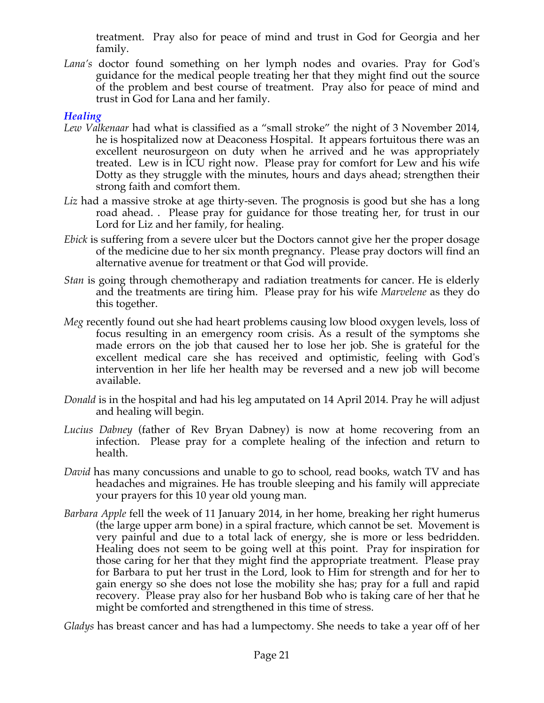treatment. Pray also for peace of mind and trust in God for Georgia and her family.

*Lana's* doctor found something on her lymph nodes and ovaries. Pray for God's guidance for the medical people treating her that they might find out the source of the problem and best course of treatment. Pray also for peace of mind and trust in God for Lana and her family.

## *Healing*

- *Lew Valkenaar* had what is classified as a "small stroke" the night of 3 November 2014, he is hospitalized now at Deaconess Hospital. It appears fortuitous there was an excellent neurosurgeon on duty when he arrived and he was appropriately treated. Lew is in ICU right now. Please pray for comfort for Lew and his wife Dotty as they struggle with the minutes, hours and days ahead; strengthen their strong faith and comfort them.
- Liz had a massive stroke at age thirty-seven. The prognosis is good but she has a long road ahead. . Please pray for guidance for those treating her, for trust in our Lord for Liz and her family, for healing.
- *Ebick* is suffering from a severe ulcer but the Doctors cannot give her the proper dosage of the medicine due to her six month pregnancy. Please pray doctors will find an alternative avenue for treatment or that God will provide.
- *Stan* is going through chemotherapy and radiation treatments for cancer. He is elderly and the treatments are tiring him. Please pray for his wife *Marvelene* as they do this together.
- *Meg* recently found out she had heart problems causing low blood oxygen levels, loss of focus resulting in an emergency room crisis. As a result of the symptoms she made errors on the job that caused her to lose her job. She is grateful for the excellent medical care she has received and optimistic, feeling with God's intervention in her life her health may be reversed and a new job will become available.
- *Donald* is in the hospital and had his leg amputated on 14 April 2014. Pray he will adjust and healing will begin.
- *Lucius Dabney* (father of Rev Bryan Dabney) is now at home recovering from an infection. Please pray for a complete healing of the infection and return to health.
- *David* has many concussions and unable to go to school, read books, watch TV and has headaches and migraines. He has trouble sleeping and his family will appreciate your prayers for this 10 year old young man.
- *Barbara Apple* fell the week of 11 January 2014, in her home, breaking her right humerus (the large upper arm bone) in a spiral fracture, which cannot be set. Movement is very painful and due to a total lack of energy, she is more or less bedridden. Healing does not seem to be going well at this point. Pray for inspiration for those caring for her that they might find the appropriate treatment. Please pray for Barbara to put her trust in the Lord, look to Him for strength and for her to gain energy so she does not lose the mobility she has; pray for a full and rapid recovery. Please pray also for her husband Bob who is taking care of her that he might be comforted and strengthened in this time of stress.

*Gladys* has breast cancer and has had a lumpectomy. She needs to take a year off of her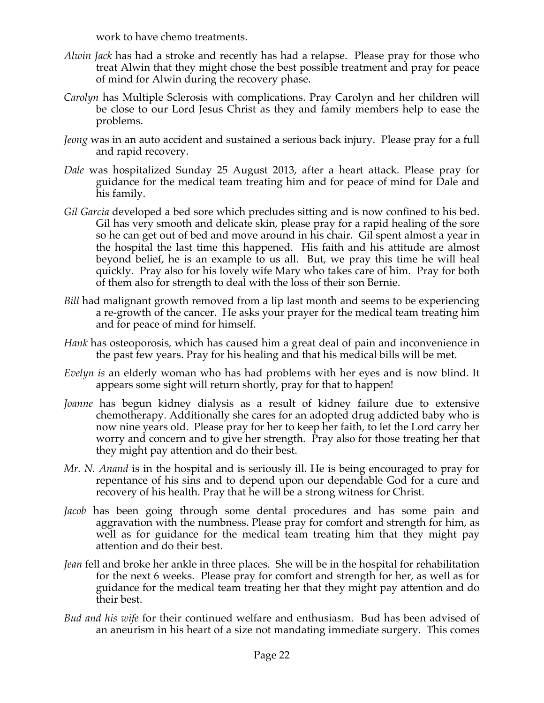work to have chemo treatments.

- *Alwin Jack* has had a stroke and recently has had a relapse. Please pray for those who treat Alwin that they might chose the best possible treatment and pray for peace of mind for Alwin during the recovery phase.
- *Carolyn* has Multiple Sclerosis with complications. Pray Carolyn and her children will be close to our Lord Jesus Christ as they and family members help to ease the problems.
- *Jeong* was in an auto accident and sustained a serious back injury. Please pray for a full and rapid recovery.
- *Dale* was hospitalized Sunday 25 August 2013, after a heart attack. Please pray for guidance for the medical team treating him and for peace of mind for Dale and his family.
- *Gil Garcia* developed a bed sore which precludes sitting and is now confined to his bed. Gil has very smooth and delicate skin, please pray for a rapid healing of the sore so he can get out of bed and move around in his chair. Gil spent almost a year in the hospital the last time this happened. His faith and his attitude are almost beyond belief, he is an example to us all. But, we pray this time he will heal quickly. Pray also for his lovely wife Mary who takes care of him. Pray for both of them also for strength to deal with the loss of their son Bernie.
- *Bill* had malignant growth removed from a lip last month and seems to be experiencing a re-growth of the cancer. He asks your prayer for the medical team treating him and for peace of mind for himself.
- *Hank* has osteoporosis, which has caused him a great deal of pain and inconvenience in the past few years. Pray for his healing and that his medical bills will be met.
- *Evelyn is* an elderly woman who has had problems with her eyes and is now blind. It appears some sight will return shortly, pray for that to happen!
- *Joanne* has begun kidney dialysis as a result of kidney failure due to extensive chemotherapy. Additionally she cares for an adopted drug addicted baby who is now nine years old. Please pray for her to keep her faith, to let the Lord carry her worry and concern and to give her strength. Pray also for those treating her that they might pay attention and do their best.
- *Mr. N. Anand* is in the hospital and is seriously ill. He is being encouraged to pray for repentance of his sins and to depend upon our dependable God for a cure and recovery of his health. Pray that he will be a strong witness for Christ.
- *Jacob* has been going through some dental procedures and has some pain and aggravation with the numbness. Please pray for comfort and strength for him, as well as for guidance for the medical team treating him that they might pay attention and do their best.
- *Jean* fell and broke her ankle in three places. She will be in the hospital for rehabilitation for the next 6 weeks. Please pray for comfort and strength for her, as well as for guidance for the medical team treating her that they might pay attention and do their best.
- *Bud and his wife* for their continued welfare and enthusiasm. Bud has been advised of an aneurism in his heart of a size not mandating immediate surgery. This comes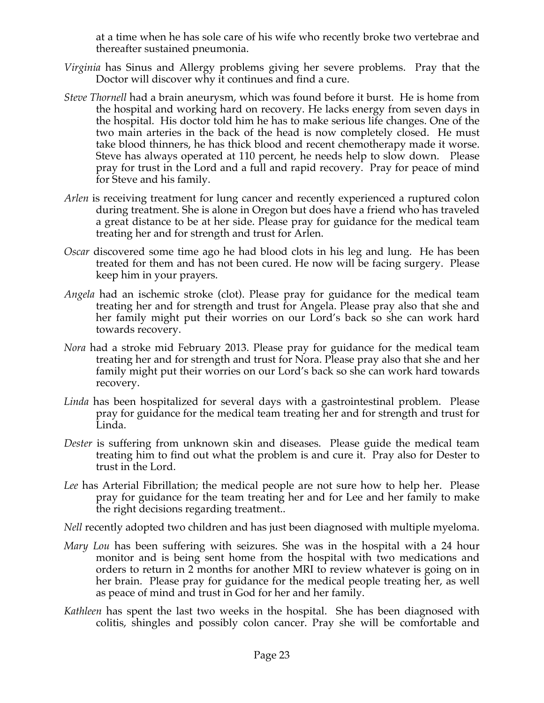at a time when he has sole care of his wife who recently broke two vertebrae and thereafter sustained pneumonia.

- *Virginia* has Sinus and Allergy problems giving her severe problems. Pray that the Doctor will discover why it continues and find a cure.
- *Steve Thornell* had a brain aneurysm, which was found before it burst. He is home from the hospital and working hard on recovery. He lacks energy from seven days in the hospital. His doctor told him he has to make serious life changes. One of the two main arteries in the back of the head is now completely closed. He must take blood thinners, he has thick blood and recent chemotherapy made it worse. Steve has always operated at 110 percent, he needs help to slow down. Please pray for trust in the Lord and a full and rapid recovery. Pray for peace of mind for Steve and his family.
- *Arlen* is receiving treatment for lung cancer and recently experienced a ruptured colon during treatment. She is alone in Oregon but does have a friend who has traveled a great distance to be at her side. Please pray for guidance for the medical team treating her and for strength and trust for Arlen.
- *Oscar* discovered some time ago he had blood clots in his leg and lung. He has been treated for them and has not been cured. He now will be facing surgery. Please keep him in your prayers.
- *Angela* had an ischemic stroke (clot). Please pray for guidance for the medical team treating her and for strength and trust for Angela. Please pray also that she and her family might put their worries on our Lord's back so she can work hard towards recovery.
- *Nora* had a stroke mid February 2013. Please pray for guidance for the medical team treating her and for strength and trust for Nora. Please pray also that she and her family might put their worries on our Lord's back so she can work hard towards recovery.
- *Linda* has been hospitalized for several days with a gastrointestinal problem. Please pray for guidance for the medical team treating her and for strength and trust for Linda.
- *Dester* is suffering from unknown skin and diseases. Please guide the medical team treating him to find out what the problem is and cure it. Pray also for Dester to trust in the Lord.
- *Lee* has Arterial Fibrillation; the medical people are not sure how to help her. Please pray for guidance for the team treating her and for Lee and her family to make the right decisions regarding treatment..

*Nell* recently adopted two children and has just been diagnosed with multiple myeloma.

- *Mary Lou* has been suffering with seizures. She was in the hospital with a 24 hour monitor and is being sent home from the hospital with two medications and orders to return in 2 months for another MRI to review whatever is going on in her brain. Please pray for guidance for the medical people treating her, as well as peace of mind and trust in God for her and her family.
- *Kathleen* has spent the last two weeks in the hospital. She has been diagnosed with colitis, shingles and possibly colon cancer. Pray she will be comfortable and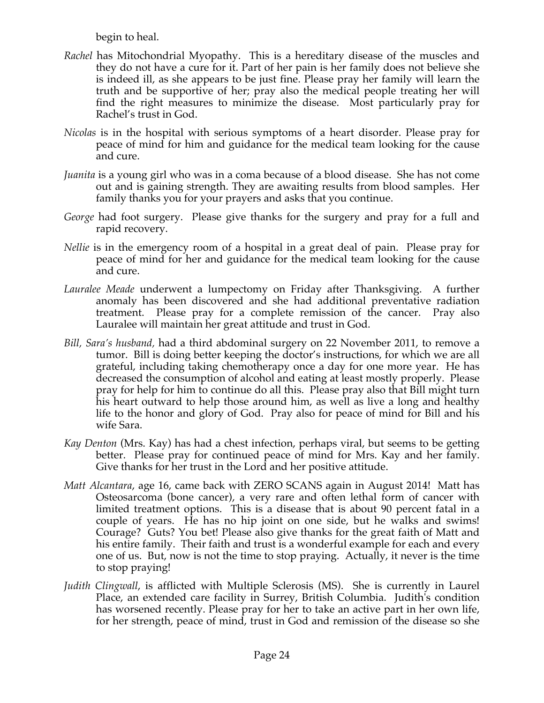begin to heal.

- *Rachel* has Mitochondrial Myopathy. This is a hereditary disease of the muscles and they do not have a cure for it. Part of her pain is her family does not believe she is indeed ill, as she appears to be just fine. Please pray her family will learn the truth and be supportive of her; pray also the medical people treating her will find the right measures to minimize the disease. Most particularly pray for Rachel's trust in God.
- *Nicolas* is in the hospital with serious symptoms of a heart disorder. Please pray for peace of mind for him and guidance for the medical team looking for the cause and cure.
- *Juanita* is a young girl who was in a coma because of a blood disease. She has not come out and is gaining strength. They are awaiting results from blood samples. Her family thanks you for your prayers and asks that you continue.
- *George* had foot surgery. Please give thanks for the surgery and pray for a full and rapid recovery.
- *Nellie* is in the emergency room of a hospital in a great deal of pain. Please pray for peace of mind for her and guidance for the medical team looking for the cause and cure.
- *Lauralee Meade* underwent a lumpectomy on Friday after Thanksgiving. A further anomaly has been discovered and she had additional preventative radiation treatment. Please pray for a complete remission of the cancer. Pray also Lauralee will maintain her great attitude and trust in God.
- *Bill, Sara's husband,* had a third abdominal surgery on 22 November 2011, to remove a tumor. Bill is doing better keeping the doctor's instructions, for which we are all grateful, including taking chemotherapy once a day for one more year. He has decreased the consumption of alcohol and eating at least mostly properly. Please pray for help for him to continue do all this. Please pray also that Bill might turn his heart outward to help those around him, as well as live a long and healthy life to the honor and glory of God. Pray also for peace of mind for Bill and his wife Sara.
- *Kay Denton* (Mrs. Kay) has had a chest infection, perhaps viral, but seems to be getting better. Please pray for continued peace of mind for Mrs. Kay and her family. Give thanks for her trust in the Lord and her positive attitude.
- *Matt Alcantara*, age 16, came back with ZERO SCANS again in August 2014! Matt has Osteosarcoma (bone cancer), a very rare and often lethal form of cancer with limited treatment options. This is a disease that is about 90 percent fatal in a couple of years. He has no hip joint on one side, but he walks and swims! Courage? Guts? You bet! Please also give thanks for the great faith of Matt and his entire family. Their faith and trust is a wonderful example for each and every one of us. But, now is not the time to stop praying. Actually, it never is the time to stop praying!
- *Judith Clingwall*, is afflicted with Multiple Sclerosis (MS). She is currently in Laurel Place, an extended care facility in Surrey, British Columbia. Judith's condition has worsened recently. Please pray for her to take an active part in her own life, for her strength, peace of mind, trust in God and remission of the disease so she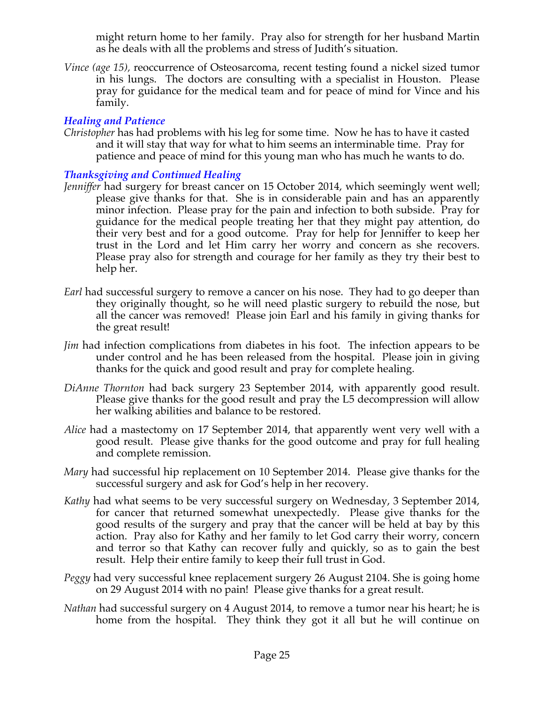might return home to her family. Pray also for strength for her husband Martin as he deals with all the problems and stress of Judith's situation.

*Vince (age 15), reoccurrence of Osteosarcoma, recent testing found a nickel sized tumor* in his lungs. The doctors are consulting with a specialist in Houston. Please pray for guidance for the medical team and for peace of mind for Vince and his family.

# *Healing and Patience*

*Christopher* has had problems with his leg for some time. Now he has to have it casted and it will stay that way for what to him seems an interminable time. Pray for patience and peace of mind for this young man who has much he wants to do.

## *Thanksgiving and Continued Healing*

- *Jenniffer* had surgery for breast cancer on 15 October 2014, which seemingly went well; please give thanks for that. She is in considerable pain and has an apparently minor infection. Please pray for the pain and infection to both subside. Pray for guidance for the medical people treating her that they might pay attention, do their very best and for a good outcome. Pray for help for Jenniffer to keep her trust in the Lord and let Him carry her worry and concern as she recovers. Please pray also for strength and courage for her family as they try their best to help her.
- *Earl* had successful surgery to remove a cancer on his nose. They had to go deeper than they originally thought, so he will need plastic surgery to rebuild the nose, but all the cancer was removed! Please join Earl and his family in giving thanks for the great result!
- *Jim* had infection complications from diabetes in his foot. The infection appears to be under control and he has been released from the hospital. Please join in giving thanks for the quick and good result and pray for complete healing.
- *DiAnne Thornton* had back surgery 23 September 2014, with apparently good result. Please give thanks for the good result and pray the L5 decompression will allow her walking abilities and balance to be restored.
- *Alice* had a mastectomy on 17 September 2014, that apparently went very well with a good result. Please give thanks for the good outcome and pray for full healing and complete remission.
- *Mary* had successful hip replacement on 10 September 2014. Please give thanks for the successful surgery and ask for God's help in her recovery.
- *Kathy* had what seems to be very successful surgery on Wednesday, 3 September 2014, for cancer that returned somewhat unexpectedly. Please give thanks for the good results of the surgery and pray that the cancer will be held at bay by this action. Pray also for Kathy and her family to let God carry their worry, concern and terror so that Kathy can recover fully and quickly, so as to gain the best result. Help their entire family to keep their full trust in God.
- *Peggy* had very successful knee replacement surgery 26 August 2104. She is going home on 29 August 2014 with no pain! Please give thanks for a great result.
- *Nathan* had successful surgery on 4 August 2014, to remove a tumor near his heart; he is home from the hospital. They think they got it all but he will continue on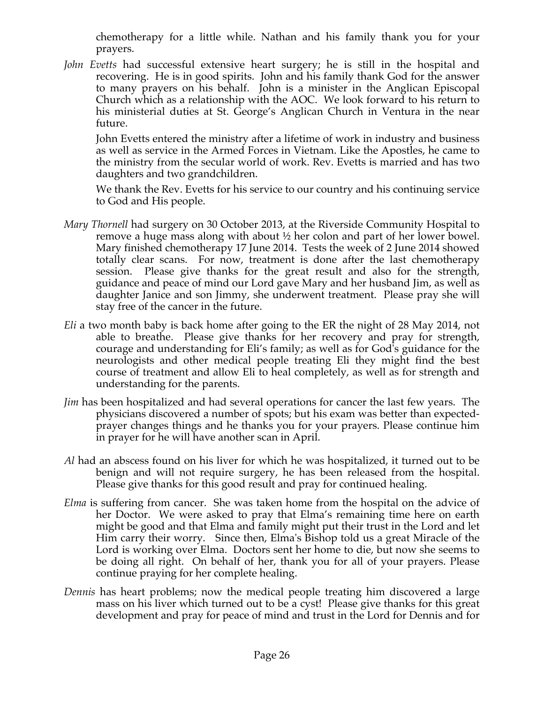chemotherapy for a little while. Nathan and his family thank you for your prayers.

*John Evetts* had successful extensive heart surgery; he is still in the hospital and recovering. He is in good spirits. John and his family thank God for the answer to many prayers on his behalf. John is a minister in the Anglican Episcopal Church which as a relationship with the AOC. We look forward to his return to his ministerial duties at St. George's Anglican Church in Ventura in the near future.

John Evetts entered the ministry after a lifetime of work in industry and business as well as service in the Armed Forces in Vietnam. Like the Apostles, he came to the ministry from the secular world of work. Rev. Evetts is married and has two daughters and two grandchildren.

We thank the Rev. Evetts for his service to our country and his continuing service to God and His people.

- *Mary Thornell* had surgery on 30 October 2013, at the Riverside Community Hospital to remove a huge mass along with about  $\frac{1}{2}$  her colon and part of her lower bowel. Mary finished chemotherapy 17 June 2014. Tests the week of 2 June 2014 showed totally clear scans. For now, treatment is done after the last chemotherapy session. Please give thanks for the great result and also for the strength, guidance and peace of mind our Lord gave Mary and her husband Jim, as well as daughter Janice and son Jimmy, she underwent treatment. Please pray she will stay free of the cancer in the future.
- *Eli* a two month baby is back home after going to the ER the night of 28 May 2014, not able to breathe. Please give thanks for her recovery and pray for strength, courage and understanding for Eli's family; as well as for God's guidance for the neurologists and other medical people treating Eli they might find the best course of treatment and allow Eli to heal completely, as well as for strength and understanding for the parents.
- *Jim* has been hospitalized and had several operations for cancer the last few years. The physicians discovered a number of spots; but his exam was better than expectedprayer changes things and he thanks you for your prayers. Please continue him in prayer for he will have another scan in April.
- *Al* had an abscess found on his liver for which he was hospitalized, it turned out to be benign and will not require surgery, he has been released from the hospital. Please give thanks for this good result and pray for continued healing.
- *Elma* is suffering from cancer. She was taken home from the hospital on the advice of her Doctor. We were asked to pray that Elma's remaining time here on earth might be good and that Elma and family might put their trust in the Lord and let Him carry their worry. Since then, Elma's Bishop told us a great Miracle of the Lord is working over Elma. Doctors sent her home to die, but now she seems to be doing all right. On behalf of her, thank you for all of your prayers. Please continue praying for her complete healing.
- *Dennis* has heart problems; now the medical people treating him discovered a large mass on his liver which turned out to be a cyst! Please give thanks for this great development and pray for peace of mind and trust in the Lord for Dennis and for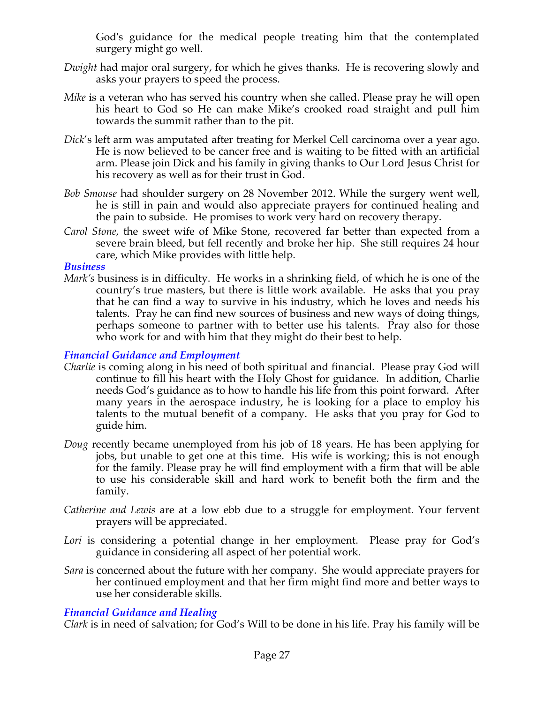God's guidance for the medical people treating him that the contemplated surgery might go well.

- *Dwight* had major oral surgery, for which he gives thanks. He is recovering slowly and asks your prayers to speed the process.
- *Mike* is a veteran who has served his country when she called. Please pray he will open his heart to God so He can make Mike's crooked road straight and pull him towards the summit rather than to the pit.
- *Dick*'s left arm was amputated after treating for Merkel Cell carcinoma over a year ago. He is now believed to be cancer free and is waiting to be fitted with an artificial arm. Please join Dick and his family in giving thanks to Our Lord Jesus Christ for his recovery as well as for their trust in God.
- *Bob Smouse* had shoulder surgery on 28 November 2012. While the surgery went well, he is still in pain and would also appreciate prayers for continued healing and the pain to subside. He promises to work very hard on recovery therapy.
- *Carol Stone*, the sweet wife of Mike Stone, recovered far better than expected from a severe brain bleed, but fell recently and broke her hip. She still requires 24 hour care, which Mike provides with little help.

#### *Business*

*Mark's* business is in difficulty. He works in a shrinking field, of which he is one of the country's true masters, but there is little work available. He asks that you pray that he can find a way to survive in his industry, which he loves and needs his talents. Pray he can find new sources of business and new ways of doing things, perhaps someone to partner with to better use his talents. Pray also for those who work for and with him that they might do their best to help.

### *Financial Guidance and Employment*

- *Charlie* is coming along in his need of both spiritual and financial. Please pray God will continue to fill his heart with the Holy Ghost for guidance. In addition, Charlie needs God's guidance as to how to handle his life from this point forward. After many years in the aerospace industry, he is looking for a place to employ his talents to the mutual benefit of a company. He asks that you pray for God to guide him.
- *Doug* recently became unemployed from his job of 18 years. He has been applying for jobs, but unable to get one at this time. His wife is working; this is not enough for the family. Please pray he will find employment with a firm that will be able to use his considerable skill and hard work to benefit both the firm and the family.
- *Catherine and Lewis* are at a low ebb due to a struggle for employment. Your fervent prayers will be appreciated.
- *Lori* is considering a potential change in her employment. Please pray for God's guidance in considering all aspect of her potential work.
- *Sara* is concerned about the future with her company. She would appreciate prayers for her continued employment and that her firm might find more and better ways to use her considerable skills.

# *Financial Guidance and Healing*

*Clark* is in need of salvation; for God's Will to be done in his life. Pray his family will be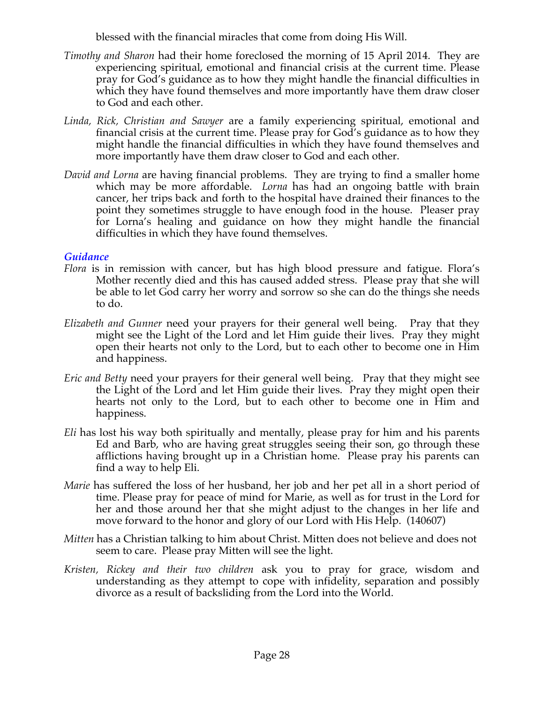blessed with the financial miracles that come from doing His Will.

- *Timothy and Sharon* had their home foreclosed the morning of 15 April 2014. They are experiencing spiritual, emotional and financial crisis at the current time. Please pray for God's guidance as to how they might handle the financial difficulties in which they have found themselves and more importantly have them draw closer to God and each other.
- *Linda, Rick, Christian and Sawyer* are a family experiencing spiritual, emotional and financial crisis at the current time. Please pray for God's guidance as to how they might handle the financial difficulties in which they have found themselves and more importantly have them draw closer to God and each other.
- *David and Lorna* are having financial problems. They are trying to find a smaller home which may be more affordable. *Lorna* has had an ongoing battle with brain cancer, her trips back and forth to the hospital have drained their finances to the point they sometimes struggle to have enough food in the house. Pleaser pray for Lorna's healing and guidance on how they might handle the financial difficulties in which they have found themselves.

## *Guidance*

- *Flora* is in remission with cancer, but has high blood pressure and fatigue. Flora's Mother recently died and this has caused added stress. Please pray that she will be able to let God carry her worry and sorrow so she can do the things she needs to do.
- *Elizabeth and Gunner* need your prayers for their general well being. Pray that they might see the Light of the Lord and let Him guide their lives. Pray they might open their hearts not only to the Lord, but to each other to become one in Him and happiness.
- *Eric and Betty* need your prayers for their general well being. Pray that they might see the Light of the Lord and let Him guide their lives. Pray they might open their hearts not only to the Lord, but to each other to become one in Him and happiness.
- *Eli* has lost his way both spiritually and mentally, please pray for him and his parents Ed and Barb, who are having great struggles seeing their son, go through these afflictions having brought up in a Christian home. Please pray his parents can find a way to help Eli.
- *Marie* has suffered the loss of her husband, her job and her pet all in a short period of time. Please pray for peace of mind for Marie, as well as for trust in the Lord for her and those around her that she might adjust to the changes in her life and move forward to the honor and glory of our Lord with His Help. (140607)
- *Mitten* has a Christian talking to him about Christ. Mitten does not believe and does not seem to care. Please pray Mitten will see the light.
- *Kristen, Rickey and their two children* ask you to pray for grace, wisdom and understanding as they attempt to cope with infidelity, separation and possibly divorce as a result of backsliding from the Lord into the World.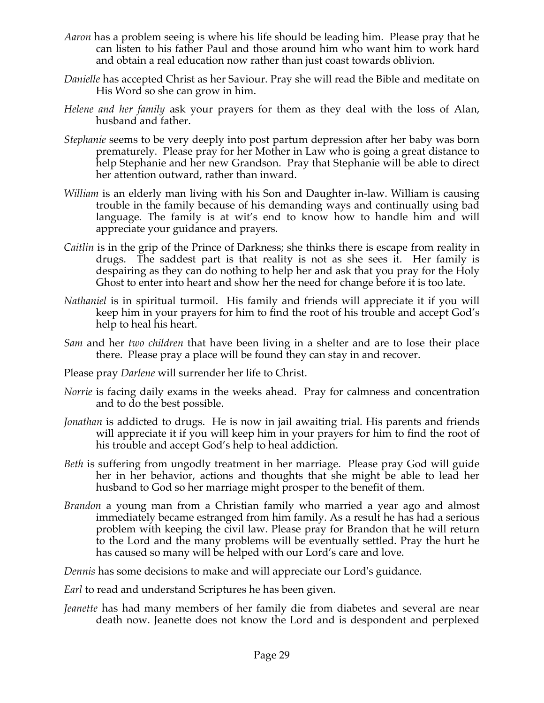- *Aaron* has a problem seeing is where his life should be leading him. Please pray that he can listen to his father Paul and those around him who want him to work hard and obtain a real education now rather than just coast towards oblivion.
- *Danielle* has accepted Christ as her Saviour. Pray she will read the Bible and meditate on His Word so she can grow in him.
- *Helene and her family* ask your prayers for them as they deal with the loss of Alan, husband and father.
- *Stephanie* seems to be very deeply into post partum depression after her baby was born prematurely. Please pray for her Mother in Law who is going a great distance to help Stephanie and her new Grandson. Pray that Stephanie will be able to direct her attention outward, rather than inward.
- *William* is an elderly man living with his Son and Daughter in-law. William is causing trouble in the family because of his demanding ways and continually using bad language. The family is at wit's end to know how to handle him and will appreciate your guidance and prayers.
- *Caitlin* is in the grip of the Prince of Darkness; she thinks there is escape from reality in drugs. The saddest part is that reality is not as she sees it. Her family is despairing as they can do nothing to help her and ask that you pray for the Holy Ghost to enter into heart and show her the need for change before it is too late.
- *Nathaniel* is in spiritual turmoil. His family and friends will appreciate it if you will keep him in your prayers for him to find the root of his trouble and accept God's help to heal his heart.
- *Sam* and her *two children* that have been living in a shelter and are to lose their place there. Please pray a place will be found they can stay in and recover.
- Please pray *Darlene* will surrender her life to Christ.
- *Norrie* is facing daily exams in the weeks ahead. Pray for calmness and concentration and to do the best possible.
- *Jonathan* is addicted to drugs. He is now in jail awaiting trial. His parents and friends will appreciate it if you will keep him in your prayers for him to find the root of his trouble and accept God's help to heal addiction.
- *Beth* is suffering from ungodly treatment in her marriage. Please pray God will guide her in her behavior, actions and thoughts that she might be able to lead her husband to God so her marriage might prosper to the benefit of them.
- *Brandon* a young man from a Christian family who married a year ago and almost immediately became estranged from him family. As a result he has had a serious problem with keeping the civil law. Please pray for Brandon that he will return to the Lord and the many problems will be eventually settled. Pray the hurt he has caused so many will be helped with our Lord's care and love.

*Dennis* has some decisions to make and will appreciate our Lord's guidance.

- *Earl* to read and understand Scriptures he has been given.
- *Jeanette* has had many members of her family die from diabetes and several are near death now. Jeanette does not know the Lord and is despondent and perplexed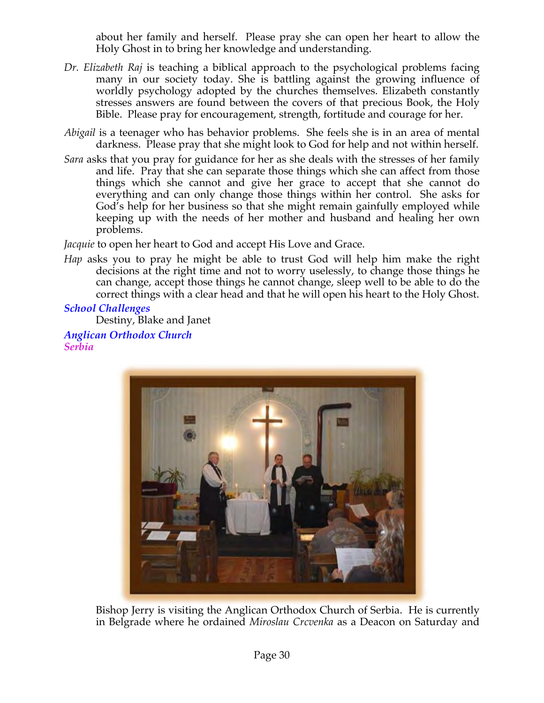about her family and herself. Please pray she can open her heart to allow the Holy Ghost in to bring her knowledge and understanding.

- *Dr. Elizabeth Raj* is teaching a biblical approach to the psychological problems facing many in our society today. She is battling against the growing influence of worldly psychology adopted by the churches themselves. Elizabeth constantly stresses answers are found between the covers of that precious Book, the Holy Bible. Please pray for encouragement, strength, fortitude and courage for her.
- *Abigail* is a teenager who has behavior problems. She feels she is in an area of mental darkness. Please pray that she might look to God for help and not within herself.
- *Sara* asks that you pray for guidance for her as she deals with the stresses of her family and life. Pray that she can separate those things which she can affect from those things which she cannot and give her grace to accept that she cannot do everything and can only change those things within her control. She asks for God's help for her business so that she might remain gainfully employed while keeping up with the needs of her mother and husband and healing her own problems.

*Jacquie* to open her heart to God and accept His Love and Grace.

*Hap* asks you to pray he might be able to trust God will help him make the right decisions at the right time and not to worry uselessly, to change those things he can change, accept those things he cannot change, sleep well to be able to do the correct things with a clear head and that he will open his heart to the Holy Ghost.

### *School Challenges*

Destiny, Blake and Janet *Anglican Orthodox Church*

*Serbia*



Bishop Jerry is visiting the Anglican Orthodox Church of Serbia. He is currently in Belgrade where he ordained *Miroslau Crcvenka* as a Deacon on Saturday and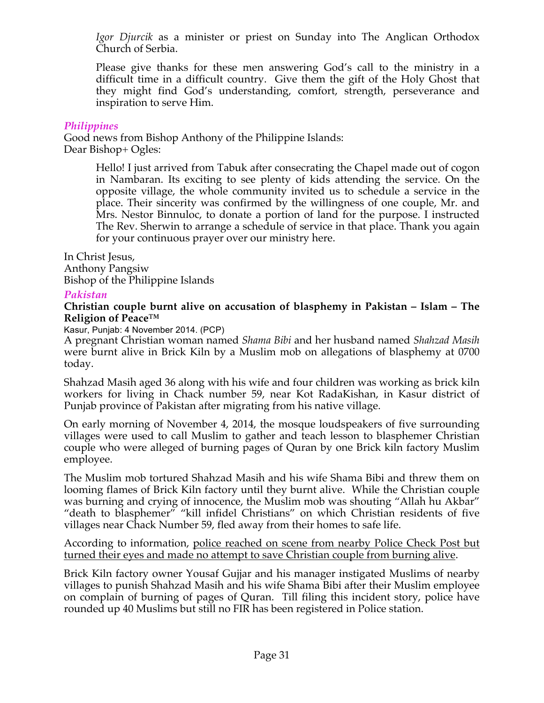*Igor Djurcik* as a minister or priest on Sunday into The Anglican Orthodox Church of Serbia.

Please give thanks for these men answering God's call to the ministry in a difficult time in a difficult country. Give them the gift of the Holy Ghost that they might find God's understanding, comfort, strength, perseverance and inspiration to serve Him.

## *Philippines*

Good news from Bishop Anthony of the Philippine Islands: Dear Bishop+ Ogles:

> Hello! I just arrived from Tabuk after consecrating the Chapel made out of cogon in Nambaran. Its exciting to see plenty of kids attending the service. On the opposite village, the whole community invited us to schedule a service in the place. Their sincerity was confirmed by the willingness of one couple, Mr. and Mrs. Nestor Binnuloc, to donate a portion of land for the purpose. I instructed The Rev. Sherwin to arrange a schedule of service in that place. Thank you again for your continuous prayer over our ministry here.

In Christ Jesus, Anthony Pangsiw Bishop of the Philippine Islands

## *Pakistan*

#### **Christian couple burnt alive on accusation of blasphemy in Pakistan – Islam – The Religion of Peace™**

Kasur, Punjab: 4 November 2014. (PCP)

A pregnant Christian woman named *Shama Bibi* and her husband named *Shahzad Masih* were burnt alive in Brick Kiln by a Muslim mob on allegations of blasphemy at 0700 today.

Shahzad Masih aged 36 along with his wife and four children was working as brick kiln workers for living in Chack number 59, near Kot RadaKishan, in Kasur district of Punjab province of Pakistan after migrating from his native village.

On early morning of November 4, 2014, the mosque loudspeakers of five surrounding villages were used to call Muslim to gather and teach lesson to blasphemer Christian couple who were alleged of burning pages of Quran by one Brick kiln factory Muslim employee.

The Muslim mob tortured Shahzad Masih and his wife Shama Bibi and threw them on looming flames of Brick Kiln factory until they burnt alive. While the Christian couple was burning and crying of innocence, the Muslim mob was shouting "Allah hu Akbar" "death to blasphemer" "kill infidel Christians" on which Christian residents of five villages near Chack Number 59, fled away from their homes to safe life.

According to information, police reached on scene from nearby Police Check Post but turned their eyes and made no attempt to save Christian couple from burning alive.

Brick Kiln factory owner Yousaf Gujjar and his manager instigated Muslims of nearby villages to punish Shahzad Masih and his wife Shama Bibi after their Muslim employee on complain of burning of pages of Quran. Till filing this incident story, police have rounded up 40 Muslims but still no FIR has been registered in Police station.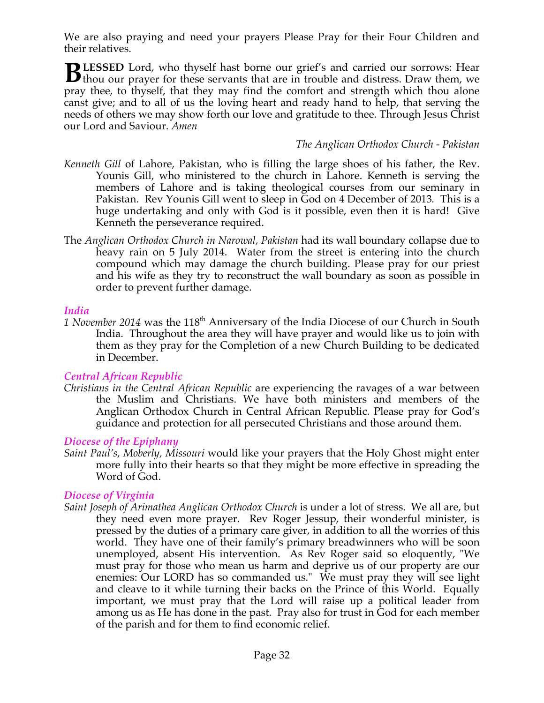We are also praying and need your prayers Please Pray for their Four Children and their relatives.

**LESSED** Lord, who thyself hast borne our grief's and carried our sorrows: Hear **BLESSED** Lord, who thyself hast borne our grief's and carried our sorrows: Hear thou our prayer for these servants that are in trouble and distress. Draw them, we pray thee, to thyself, that they may find the comfort and strength which thou alone canst give; and to all of us the loving heart and ready hand to help, that serving the needs of others we may show forth our love and gratitude to thee. Through Jesus Christ our Lord and Saviour. *Amen*

#### *The Anglican Orthodox Church - Pakistan*

- *Kenneth Gill* of Lahore, Pakistan, who is filling the large shoes of his father, the Rev. Younis Gill, who ministered to the church in Lahore. Kenneth is serving the members of Lahore and is taking theological courses from our seminary in Pakistan. Rev Younis Gill went to sleep in God on 4 December of 2013*.* This is a huge undertaking and only with God is it possible, even then it is hard! Give Kenneth the perseverance required.
- The *Anglican Orthodox Church in Narowal, Pakistan* had its wall boundary collapse due to heavy rain on 5 July 2014. Water from the street is entering into the church compound which may damage the church building. Please pray for our priest and his wife as they try to reconstruct the wall boundary as soon as possible in order to prevent further damage.

#### *India*

1 November 2014 was the 118<sup>th</sup> Anniversary of the India Diocese of our Church in South India. Throughout the area they will have prayer and would like us to join with them as they pray for the Completion of a new Church Building to be dedicated in December.

#### *Central African Republic*

*Christians in the Central African Republic* are experiencing the ravages of a war between the Muslim and Christians. We have both ministers and members of the Anglican Orthodox Church in Central African Republic. Please pray for God's guidance and protection for all persecuted Christians and those around them.

#### *Diocese of the Epiphany*

*Saint Paul's, Moberly, Missouri* would like your prayers that the Holy Ghost might enter more fully into their hearts so that they might be more effective in spreading the Word of God.

#### *Diocese of Virginia*

*Saint Joseph of Arimathea Anglican Orthodox Church* is under a lot of stress. We all are, but they need even more prayer. Rev Roger Jessup, their wonderful minister, is pressed by the duties of a primary care giver, in addition to all the worries of this world. They have one of their family's primary breadwinners who will be soon unemployed, absent His intervention. As Rev Roger said so eloquently, "We must pray for those who mean us harm and deprive us of our property are our enemies: Our LORD has so commanded us." We must pray they will see light and cleave to it while turning their backs on the Prince of this World. Equally important, we must pray that the Lord will raise up a political leader from among us as He has done in the past. Pray also for trust in God for each member of the parish and for them to find economic relief.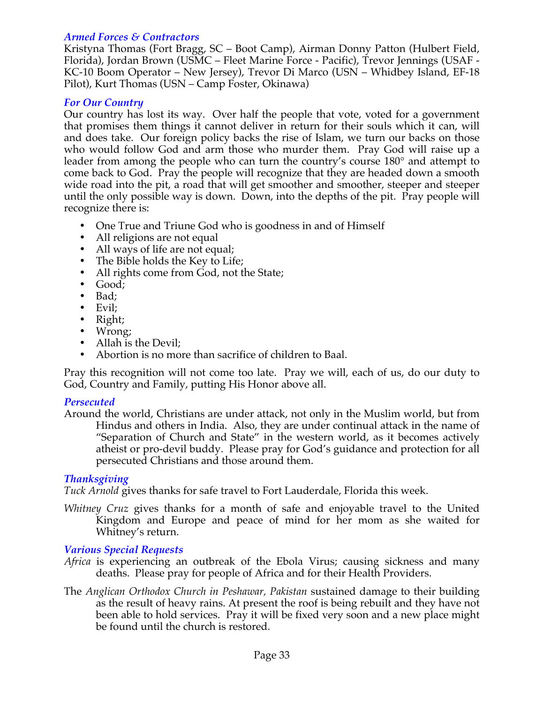## *Armed Forces & Contractors*

Kristyna Thomas (Fort Bragg, SC – Boot Camp), Airman Donny Patton (Hulbert Field, Florida), Jordan Brown (USMC – Fleet Marine Force - Pacific), Trevor Jennings (USAF - KC-10 Boom Operator – New Jersey), Trevor Di Marco (USN – Whidbey Island, EF-18 Pilot), Kurt Thomas (USN – Camp Foster, Okinawa)

# *For Our Country*

Our country has lost its way. Over half the people that vote, voted for a government that promises them things it cannot deliver in return for their souls which it can, will and does take. Our foreign policy backs the rise of Islam, we turn our backs on those who would follow God and arm those who murder them. Pray God will raise up a leader from among the people who can turn the country's course 180° and attempt to come back to God. Pray the people will recognize that they are headed down a smooth wide road into the pit, a road that will get smoother and smoother, steeper and steeper until the only possible way is down. Down, into the depths of the pit. Pray people will recognize there is:

- One True and Triune God who is goodness in and of Himself
- All religions are not equal
- All ways of life are not equal;
- The Bible holds the Key to Life;
- All rights come from God, not the State;
- Good;
- Bad;
- Evil;
- Right;
- Wrong;
- Allah is the Devil;
- Abortion is no more than sacrifice of children to Baal.

Pray this recognition will not come too late. Pray we will, each of us, do our duty to God, Country and Family, putting His Honor above all.

### *Persecuted*

Around the world, Christians are under attack, not only in the Muslim world, but from Hindus and others in India. Also, they are under continual attack in the name of "Separation of Church and State" in the western world, as it becomes actively atheist or pro-devil buddy. Please pray for God's guidance and protection for all persecuted Christians and those around them.

# *Thanksgiving*

*Tuck Arnold* gives thanks for safe travel to Fort Lauderdale, Florida this week.

*Whitney Cruz* gives thanks for a month of safe and enjoyable travel to the United Kingdom and Europe and peace of mind for her mom as she waited for Whitney's return.

### *Various Special Requests*

- *Africa* is experiencing an outbreak of the Ebola Virus; causing sickness and many deaths. Please pray for people of Africa and for their Health Providers.
- The *Anglican Orthodox Church in Peshawar, Pakistan* sustained damage to their building as the result of heavy rains. At present the roof is being rebuilt and they have not been able to hold services. Pray it will be fixed very soon and a new place might be found until the church is restored.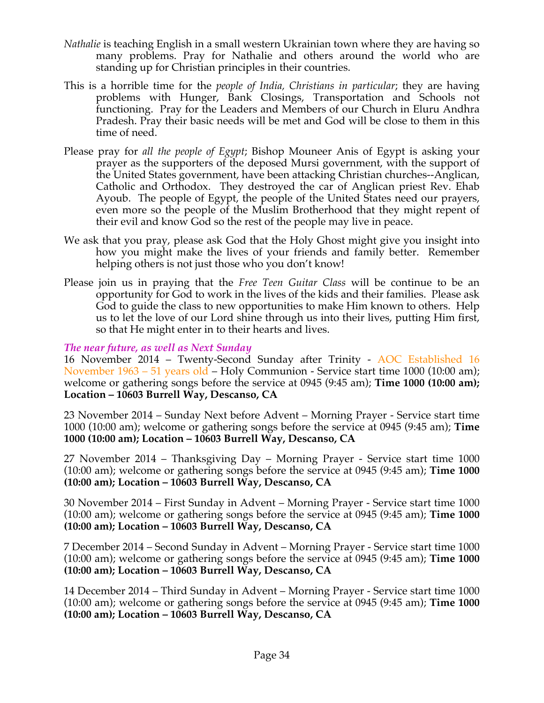- *Nathalie* is teaching English in a small western Ukrainian town where they are having so many problems. Pray for Nathalie and others around the world who are standing up for Christian principles in their countries.
- This is a horrible time for the *people of India, Christians in particular*; they are having problems with Hunger, Bank Closings, Transportation and Schools not functioning. Pray for the Leaders and Members of our Church in Eluru Andhra Pradesh. Pray their basic needs will be met and God will be close to them in this time of need.
- Please pray for *all the people of Egypt*; Bishop Mouneer Anis of Egypt is asking your prayer as the supporters of the deposed Mursi government, with the support of the United States government, have been attacking Christian churches--Anglican, Catholic and Orthodox. They destroyed the car of Anglican priest Rev. Ehab Ayoub. The people of Egypt, the people of the United States need our prayers, even more so the people of the Muslim Brotherhood that they might repent of their evil and know God so the rest of the people may live in peace.
- We ask that you pray, please ask God that the Holy Ghost might give you insight into how you might make the lives of your friends and family better. Remember helping others is not just those who you don't know!
- Please join us in praying that the *Free Teen Guitar Class* will be continue to be an opportunity for God to work in the lives of the kids and their families. Please ask God to guide the class to new opportunities to make Him known to others. Help us to let the love of our Lord shine through us into their lives, putting Him first, so that He might enter in to their hearts and lives.

# *The near future, as well as Next Sunday*

16 November 2014 – Twenty-Second Sunday after Trinity - AOC Established 16 November 1963 – 51 years old – Holy Communion - Service start time 1000 (10:00 am); welcome or gathering songs before the service at 0945 (9:45 am); **Time 1000 (10:00 am); Location – 10603 Burrell Way, Descanso, CA**

23 November 2014 – Sunday Next before Advent – Morning Prayer - Service start time 1000 (10:00 am); welcome or gathering songs before the service at 0945 (9:45 am); **Time 1000 (10:00 am); Location – 10603 Burrell Way, Descanso, CA**

27 November 2014 – Thanksgiving Day – Morning Prayer - Service start time 1000 (10:00 am); welcome or gathering songs before the service at 0945 (9:45 am); **Time 1000 (10:00 am); Location – 10603 Burrell Way, Descanso, CA**

30 November 2014 – First Sunday in Advent – Morning Prayer - Service start time 1000 (10:00 am); welcome or gathering songs before the service at 0945 (9:45 am); **Time 1000 (10:00 am); Location – 10603 Burrell Way, Descanso, CA**

7 December 2014 – Second Sunday in Advent – Morning Prayer - Service start time 1000 (10:00 am); welcome or gathering songs before the service at 0945 (9:45 am); **Time 1000 (10:00 am); Location – 10603 Burrell Way, Descanso, CA**

14 December 2014 – Third Sunday in Advent – Morning Prayer - Service start time 1000 (10:00 am); welcome or gathering songs before the service at 0945 (9:45 am); **Time 1000 (10:00 am); Location – 10603 Burrell Way, Descanso, CA**